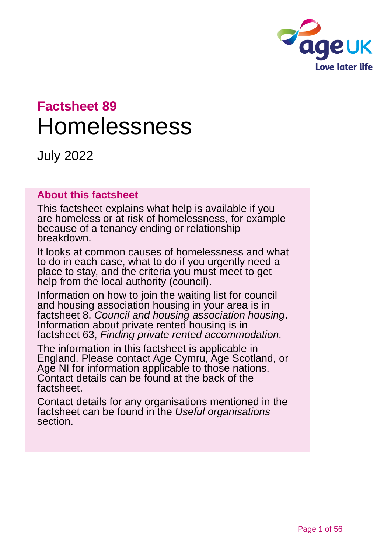

# **Factsheet 89** Homelessness

July 2022

#### **About this factsheet**

This factsheet explains what help is available if you are homeless or at risk of homelessness, for example because of a tenancy ending or relationship breakdown.

It looks at common causes of homelessness and what to do in each case, what to do if you urgently need a place to stay, and the criteria you must meet to get help from the local authority (council).

Information on how to join the waiting list for council and housing association housing in your area is in factsheet 8, *[Council and housing association housing](https://www.ageuk.org.uk/globalassets/age-uk/documents/factsheets/fs8_council_and_housing_association_housing_fcs.pdf?dtrk=true)*. Information about private rented housing is in factsheet 63, *[Finding private rented accommodation.](https://www.ageuk.org.uk/globalassets/age-uk/documents/factsheets/fs63_finding_private_rented_accommodation_fcs.pdf?dtrk=true)*

The information in this factsheet is applicable in England. Please contact [Age Cymru, Age Scotland,](#page-54-0) or [Age NI](#page-54-0) for information applicable to those nations. Contact details can be found at the back of the factsheet.

Contact details for any organisations mentioned in the factsheet can be found in the *[Useful organisations](#page-52-0)* section.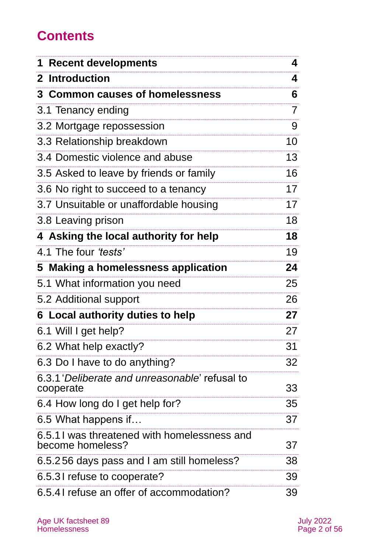## **Contents**

| <b>Recent developments</b><br>1                                 | 4              |
|-----------------------------------------------------------------|----------------|
| 2 Introduction                                                  | 4              |
| 3 Common causes of homelessness                                 | 6              |
| 3.1 Tenancy ending                                              | $\overline{7}$ |
| 3.2 Mortgage repossession                                       | 9              |
| 3.3 Relationship breakdown                                      | 10             |
| 3.4 Domestic violence and abuse                                 | 13             |
| 3.5 Asked to leave by friends or family                         | 16             |
| 3.6 No right to succeed to a tenancy                            | 17             |
| 3.7 Unsuitable or unaffordable housing                          | 17             |
| 3.8 Leaving prison                                              | 18             |
| 4 Asking the local authority for help                           | 18             |
| 4.1 The four 'tests'                                            | 19             |
| 5 Making a homelessness application                             | 24             |
| 5.1 What information you need                                   | 25             |
| 5.2 Additional support                                          | 26             |
| <b>6 Local authority duties to help</b>                         | 27             |
| 6.1 Will I get help?                                            | 27             |
| 6.2 What help exactly?                                          | 31             |
| 6.3 Do I have to do anything?                                   | 32             |
| 6.3.1 Deliberate and unreasonable' refusal to<br>cooperate      | 33             |
| 6.4 How long do I get help for?                                 | 35             |
| 6.5 What happens if                                             | 37             |
| 6.5.11 was threatened with homelessness and<br>become homeless? | 37             |
| 6.5.256 days pass and I am still homeless?                      | 38             |
| 6.5.31 refuse to cooperate?                                     | 39             |
| 6.5.41 refuse an offer of accommodation?                        | 39             |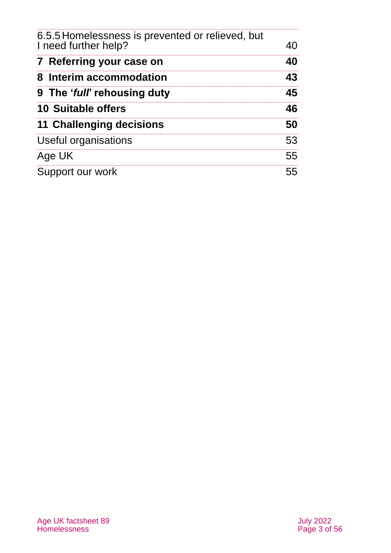| 6.5.5 Homelessness is prevented or relieved, but<br>I need further help? | 40 |
|--------------------------------------------------------------------------|----|
| 7 Referring your case on                                                 | 40 |
| 8 Interim accommodation                                                  | 43 |
| 9 The 'full' rehousing duty                                              | 45 |
| <b>10 Suitable offers</b>                                                | 46 |
| 11 Challenging decisions                                                 | 50 |
| Useful organisations                                                     | 53 |
| Age UK                                                                   | 55 |
| Support our work                                                         | 55 |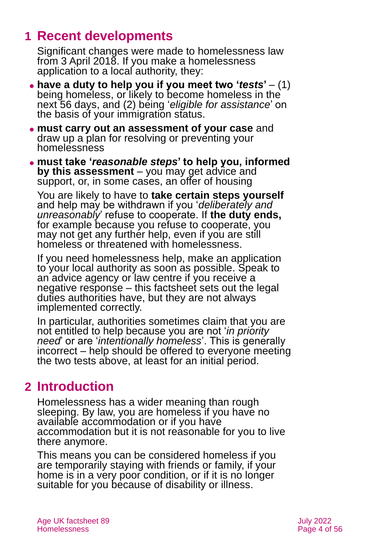## <span id="page-3-0"></span>**1 Recent developments**

Significant changes were made to homelessness law from 3 April 2018. If you make a homelessness application to a local authority, they:

- ⚫ **have a duty to help you if you meet two '***tests***'**  (1) being homeless, or likely to become homeless in the next 56 days, and (2) being '*eligible for assistance*' on the basis of your immigration status.
- ⚫ **must carry out an assessment of your case** and draw up a plan for resolving or preventing your homelessness
- ⚫ **must take '***reasonable steps***' to help you, informed by this assessment** – you may get advice and support, or, in some cases, an offer of housing

You are likely to have to **take certain steps yourself** and help may be withdrawn if you '*deliberately and unreasonably*' refuse to cooperate. If **the duty ends,** for example because you refuse to cooperate, you may not get any further help, even if you are still homeless or threatened with homelessness.

If you need homelessness help, make an application to your local authority as soon as possible. Speak to an advice agency or law centre if you receive a negative response – this factsheet sets out the legal duties authorities have, but they are not always implemented correctly.

In particular, authorities sometimes claim that you are not entitled to help because you are not '*in priority need*' or are '*intentionally homeless*'. This is generally incorrect – help should be offered to everyone meeting the two tests above, at least for an initial period.

## <span id="page-3-1"></span>**2 Introduction**

Homelessness has a wider meaning than rough sleeping. By law, you are homeless if you have no available accommodation or if you have accommodation but it is not reasonable for you to live there anymore.

This means you can be considered homeless if you are temporarily staying with friends or family, if your home is in a very poor condition, or if it is no longer suitable for you because of disability or illness.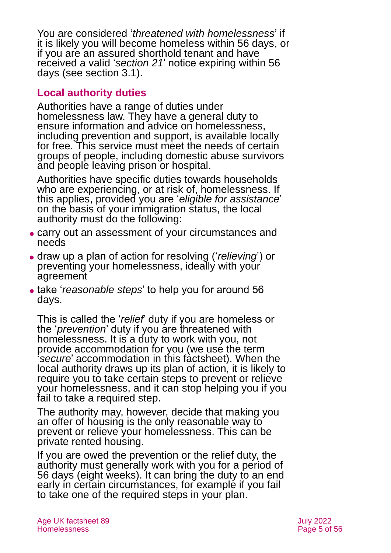You are considered '*threatened with homelessness*' if it is likely you will become homeless within 56 days, or if you are an assured shorthold tenant and have received a valid '*section 21*' notice expiring within 56 days (see [section 3.1\)](#page-6-0).

### **Local authority duties**

Authorities have a range of duties under homelessness law. They have a general duty to ensure information and advice on homelessness, including prevention and support, is available locally for free. This service must meet the needs of certain groups of people, including domestic abuse survivors and people leaving prison or hospital.

Authorities have specific duties towards households who are experiencing, or at risk of, homelessness. If this applies, provided you are '*eligible for assistance*' on the basis of your immigration status, the local authority must do the following:

- ⚫ carry out an assessment of your circumstances and needs
- ⚫ draw up a plan of action for resolving ('*relieving*') or preventing your homelessness, ideally with your agreement
- ⚫ take '*reasonable steps*' to help you for around 56 days.

This is called the '*relief*' duty if you are homeless or the '*prevention*' duty if you are threatened with homelessness. It is a duty to work with you, not provide accommodation for you (we use the term '*secure*' accommodation in this factsheet). When the local authority draws up its plan of action, it is likely to require you to take certain steps to prevent or relieve your homelessness, and it can stop helping you if you fail to take a required step.

The authority may, however, decide that making you an offer of housing is the only reasonable way to prevent or relieve your homelessness. This can be private rented housing.

If you are owed the prevention or the relief duty, the authority must generally work with you for a period of 56 days (eight weeks). It can bring the duty to an end early in certain circumstances, for example if you fail to take one of the required steps in your plan.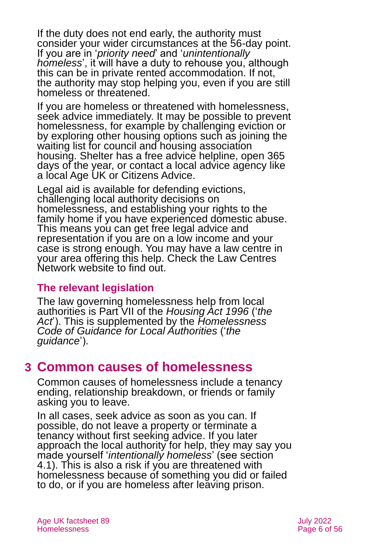If the duty does not end early, the authority must consider your wider circumstances at the 56-day point. If you are in '*priority need*' and '*unintentionally homeless*', it will have a duty to rehouse you, although this can be in private rented accommodation. If not, the authority may stop helping you, even if you are still homeless or threatened.

If you are homeless or threatened with homelessness, seek advice immediately. It may be possible to prevent homelessness, for example by challenging eviction or by exploring other housing options such as joining the waiting list for council and housing association housing. Shelter has a free advice helpline, open 365 days of the year, or contact a local advice agency like a [local Age UK](http://www.ageuk.org.uk/) or [Citizens Advice.](http://www.citizensadvice.org.uk/)

Legal aid is available for defending evictions, challenging local authority decisions on homelessness, and establishing your rights to the family home if you have experienced domestic abuse. This means you can get free legal advice and representation if you are on a low income and your case is strong enough. You may have a law centre in your area offering this help. Check the [Law Centres](https://www.lawcentres.org.uk/)  [Network](https://www.lawcentres.org.uk/) website to find out.

#### **The relevant legislation**

The law governing homelessness help from local authorities is Part VII of the *[Housing Act 1996](https://www.legislation.gov.uk/ukpga/1996/52/contents)* ('*the Act*'). This is supplemented by the *[Homelessness](https://www.gov.uk/guidance/homelessness-code-of-guidance-for-local-authorities)  [Code of Guidance for Local Authorities](https://www.gov.uk/guidance/homelessness-code-of-guidance-for-local-authorities)* ('*the guidance*').

## <span id="page-5-0"></span>**3 Common causes of homelessness**

Common causes of homelessness include a tenancy ending, relationship breakdown, or friends or family asking you to leave.

In all cases, seek advice as soon as you can. If possible, do not leave a property or terminate a tenancy without first seeking advice. If you later approach the local authority for help, they may say you made yourself '*intentionally homeless*' (see [section](#page-18-0)  [4.1\)](#page-18-0). This is also a risk if you are threatened with homelessness because of something you did or failed to do, or if you are homeless after leaving prison.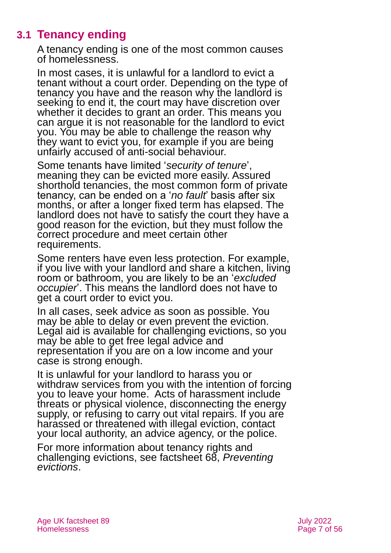## **3.1 Tenancy ending**

<span id="page-6-0"></span>A tenancy ending is one of the most common causes of homelessness.

In most cases, it is unlawful for a landlord to evict a tenant without a court order. Depending on the type of tenancy you have and the reason why the landlord is seeking to end it, the court may have discretion over whether it decides to grant an order. This means you can argue it is not reasonable for the landlord to evict you. You may be able to challenge the reason why they want to evict you, for example if you are being unfairly accused of anti-social behaviour.

Some tenants have limited '*security of tenure*', meaning they can be evicted more easily. Assured shorthold tenancies, the most common form of private tenancy, can be ended on a '*no fault*' basis after six months, or after a longer fixed term has elapsed. The landlord does not have to satisfy the court they have a good reason for the eviction, but they must follow the correct procedure and meet certain other requirements.

Some renters have even less protection. For example, if you live with your landlord and share a kitchen, living room or bathroom, you are likely to be an '*excluded occupier*'. This means the landlord does not have to get a court order to evict you.

In all cases, seek advice as soon as possible. You may be able to delay or even prevent the eviction. Legal aid is available for challenging evictions, so you may be able to get free legal advice and representation if you are on a low income and your case is strong enough.

It is unlawful for your landlord to harass you or withdraw services from you with the intention of forcing you to leave your home. Acts of harassment include threats or physical violence, disconnecting the energy supply, or refusing to carry out vital repairs. If you are harassed or threatened with illegal eviction, contact your local authority, an advice agency, or the police.

For more information about tenancy rights and challenging evictions, see factsheet 68, *[Preventing](https://www.ageuk.org.uk/globalassets/age-uk/documents/factsheets/fs68_tenancy_rights_security_of_tenure_fcs.pdf?dtrk=true)  [evictions](https://www.ageuk.org.uk/globalassets/age-uk/documents/factsheets/fs68_tenancy_rights_security_of_tenure_fcs.pdf?dtrk=true)*.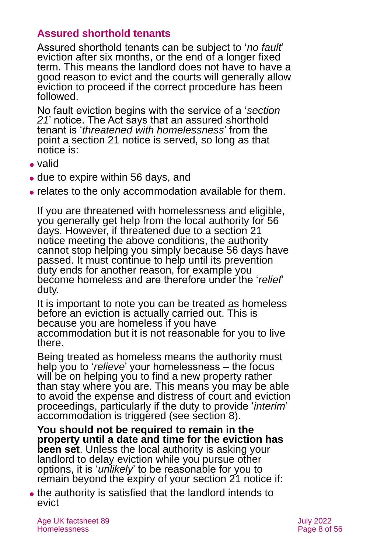### **Assured shorthold tenants**

Assured shorthold tenants can be subject to '*no fault*' eviction after six months, or the end of a longer fixed term. This means the landlord does not have to have a good reason to evict and the courts will generally allow eviction to proceed if the correct procedure has been followed.

No fault eviction begins with the service of a '*section*  21' notice. The Act says that an assured shorthold tenant is '*threatened with homelessness*' from the point a section 21 notice is served, so long as that notice is:

- ⚫ valid
- ⚫ due to expire within 56 days, and
- ⚫ relates to the only accommodation available for them.

If you are threatened with homelessness and eligible, you generally get help from the local authority for 56 days. However, if threatened due to a section 21 notice meeting the above conditions, the authority cannot stop helping you simply because 56 days have passed. It must continue to help until its prevention duty ends for another reason, for example you become homeless and are therefore under the '*relief*' duty.

It is important to note you can be treated as homeless before an eviction is actually carried out. This is because you are homeless if you have accommodation but it is not reasonable for you to live there.

Being treated as homeless means the authority must help you to '*relieve*' your homelessness – the focus will be on helping you to find a new property rather than stay where you are. This means you may be able to avoid the expense and distress of court and eviction proceedings, particularly if the duty to provide '*interim*' accommodation is triggered (see [section 8\)](#page-42-0).

**You should not be required to remain in the property until a date and time for the eviction has been set**. Unless the local authority is asking your landlord to delay eviction while you pursue other options, it is '*unlikely*' to be reasonable for you to remain beyond the expiry of your section 21 notice if:

⚫ the authority is satisfied that the landlord intends to evict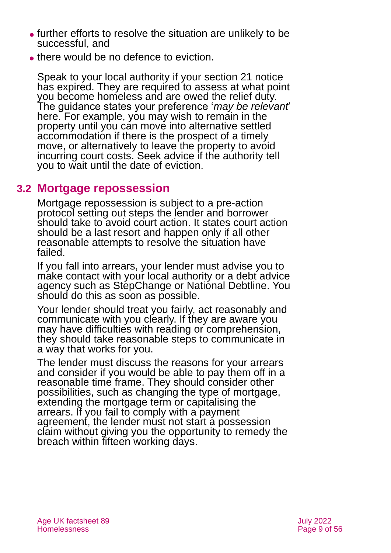- ⚫ further efforts to resolve the situation are unlikely to be successful, and
- ⚫ there would be no defence to eviction.

Speak to your local authority if your section 21 notice has expired. They are required to assess at what point you become homeless and are owed the relief duty. The guidance states your preference '*may be relevant*' here. For example, you may wish to remain in the property until you can move into alternative settled accommodation if there is the prospect of a timely move, or alternatively to leave the property to avoid incurring court costs. Seek advice if the authority tell you to wait until the date of eviction.

## **3.2 Mortgage repossession**

Mortgage repossession is subject to a [pre-action](https://www.justice.gov.uk/courts/procedure-rules/civil/protocol/prot_mha)  [protocol](https://www.justice.gov.uk/courts/procedure-rules/civil/protocol/prot_mha) setting out steps the lender and borrower should take to avoid court action. It states court action should be a last resort and happen only if all other reasonable attempts to resolve the situation have failed.

If you fall into arrears, your lender must advise you to make contact with your local authority or a debt advice agency such as [StepChange](https://www.stepchange.org/) or [National Debtline.](https://www.nationaldebtline.org/) You should do this as soon as possible.

Your lender should treat you fairly, act reasonably and communicate with you clearly. If they are aware you may have difficulties with reading or comprehension, they should take reasonable steps to communicate in a way that works for you.

The lender must discuss the reasons for your arrears and consider if you would be able to pay them off in a reasonable time frame. They should consider other possibilities, such as changing the type of mortgage, extending the mortgage term or capitalising the arrears. If you fail to comply with a payment agreement, the lender must not start a possession claim without giving you the opportunity to remedy the breach within fifteen working days.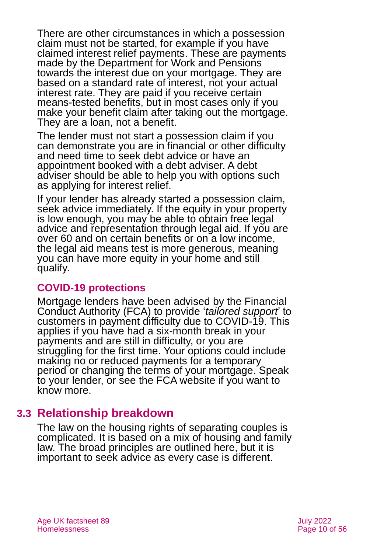There are other circumstances in which a possession claim must not be started, for example if you have claimed interest relief payments. These are payments made by the Department for Work and Pensions towards the interest due on your mortgage. They are based on a standard rate of interest, not your actual interest rate. They are paid if you receive certain means-tested benefits, but in most cases only if you make your benefit claim after taking out the mortgage. They are a loan, not a benefit.

The lender must not start a possession claim if you can demonstrate you are in financial or other difficulty and need time to seek debt advice or have an appointment booked with a debt adviser. A debt adviser should be able to help you with options such as applying for interest relief.

If your lender has already started a possession claim, seek advice immediately. If the equity in your property is low enough, you may be able to obtain free legal advice and representation through legal aid. If you are over 60 and on certain benefits or on a low income, the legal aid means test is more generous, meaning you can have more equity in your home and still qualify.

#### **COVID-19 protections**

Mortgage lenders have been advised by the Financial Conduct Authority (FCA) to provide '*tailored support*' to customers in payment difficulty due to COVID-19. This applies if you have had a six-month break in your payments and are still in difficulty, or you are struggling for the first time. Your options could include making no or reduced payments for a temporary period or changing the terms of your mortgage. Speak to your lender, or see [the FCA website](https://www.fca.org.uk/consumers/mortgages-coronavirus-consumers) if you want to know more.

## **3.3 Relationship breakdown**

The law on the housing rights of separating couples is complicated. It is based on a mix of housing and family law. The broad principles are outlined here, but it is important to seek advice as every case is different.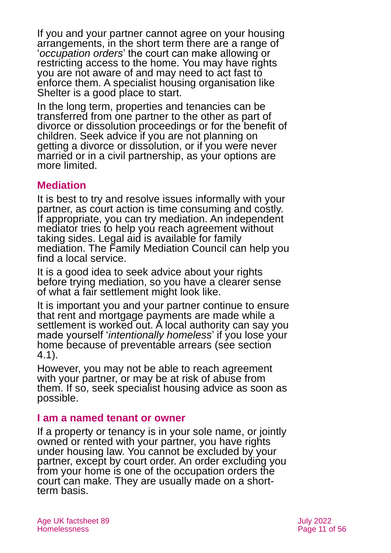If you and your partner cannot agree on your housing arrangements, in the short term there are a range of '*occupation orders*' the court can make allowing or restricting access to the home. You may have rights you are not aware of and may need to act fast to enforce them. A specialist housing organisation like [Shelter](http://england.shelter.org.uk/) is a good place to start.

In the long term, properties and tenancies can be transferred from one partner to the other as part of divorce or dissolution proceedings or for the benefit of children. Seek advice if you are not planning on getting a divorce or dissolution, or if you were never married or in a civil partnership, as your options are more limited.

#### **Mediation**

It is best to try and resolve issues informally with your partner, as court action is time consuming and costly. If appropriate, you can try mediation. An independent mediator tries to help you reach agreement without taking sides. Legal aid is available for family mediation. The [Family Mediation Council](https://www.familymediationcouncil.org.uk/) can help you find a local service.

It is a good idea to seek advice about your rights before trying mediation, so you have a clearer sense of what a fair settlement might look like.

It is important you and your partner continue to ensure that rent and mortgage payments are made while a settlement is worked out. A local authority can say you made yourself '*intentionally homeless*' if you lose your home because of preventable arrears (see [section](#page-18-0)  [4.1\)](#page-18-0).

However, you may not be able to reach agreement with your partner, or may be at risk of abuse from them. If so, seek specialist housing advice as soon as possible.

#### **I am a named tenant or owner**

If a property or tenancy is in your sole name, or jointly owned or rented with your partner, you have rights under housing law. You cannot be excluded by your partner, except by court order. An order excluding you from your home is one of the occupation orders the court can make. They are usually made on a shortterm basis.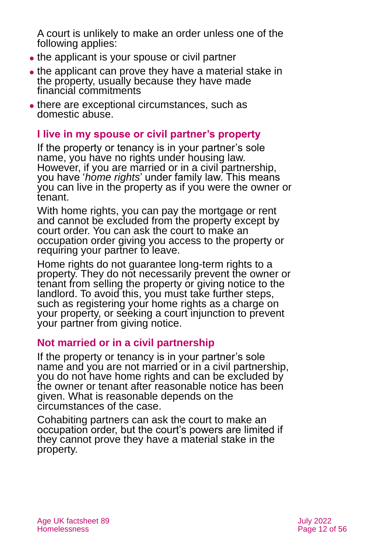A court is unlikely to make an order unless one of the following applies:

- the applicant is your spouse or civil partner
- the applicant can prove they have a material stake in the property, usually because they have made financial commitments
- ⚫ there are exceptional circumstances, such as domestic abuse.

### **I live in my spouse or civil partner's property**

If the property or tenancy is in your partner's sole name, you have no rights under housing law. However, if you are married or in a civil partnership, you have '*home rights*' under family law. This means you can live in the property as if you were the owner or tenant.

With home rights, you can pay the mortgage or rent and cannot be excluded from the property except by court order. You can ask the court to make an occupation order giving you access to the property or requiring your partner to leave.

Home rights do not guarantee long-term rights to a property. They do not necessarily prevent the owner or tenant from selling the property or giving notice to the landlord. To avoid this, you must take further steps, such as registering your home rights as a charge on your property, or seeking a court injunction to prevent your partner from giving notice.

### **Not married or in a civil partnership**

If the property or tenancy is in your partner's sole name and you are not married or in a civil partnership, you do not have home rights and can be excluded by the owner or tenant after reasonable notice has been given. What is reasonable depends on the circumstances of the case.

Cohabiting partners can ask the court to make an occupation order, but the court's powers are limited if they cannot prove they have a material stake in the property.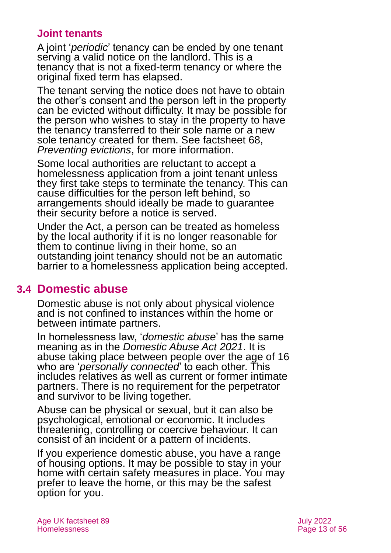### **Joint tenants**

A joint '*periodic*' tenancy can be ended by one tenant serving a valid notice on the landlord. This is a tenancy that is not a fixed-term tenancy or where the original fixed term has elapsed.

The tenant serving the notice does not have to obtain the other's consent and the person left in the property can be evicted without difficulty. It may be possible for the person who wishes to stay in the property to have the tenancy transferred to their sole name or a new sole tenancy created for them. See factsheet 68, *[Preventing](https://www.ageuk.org.uk/globalassets/age-uk/documents/factsheets/fs68_tenancy_rights_security_of_tenure_fcs.pdf) evictions*, for more information.

Some local authorities are reluctant to accept a homelessness application from a joint tenant unless they first take steps to terminate the tenancy. This can cause difficulties for the person left behind, so arrangements should ideally be made to guarantee their security before a notice is served.

Under the Act, a person can be treated as homeless by the local authority if it is no longer reasonable for them to continue living in their home, so an outstanding joint tenancy should not be an automatic barrier to a homelessness application being accepted.

### <span id="page-12-0"></span>**3.4 Domestic abuse**

Domestic abuse is not only about physical violence and is not confined to instances within the home or between intimate partners.

In homelessness law, '*domestic abuse*' has the same meaning as in the *Domestic Abuse Act 2021*. It is abuse taking place between people over the age of 16 who are '*personally connected*' to each other. This includes relatives as well as current or former intimate partners. There is no requirement for the perpetrator and survivor to be living together.

Abuse can be physical or sexual, but it can also be psychological, emotional or economic. It includes threatening, controlling or coercive behaviour. It can consist of an incident or a pattern of incidents.

If you experience domestic abuse, you have a range of housing options. It may be possible to stay in your home with certain safety measures in place. You may prefer to leave the home, or this may be the safest option for you.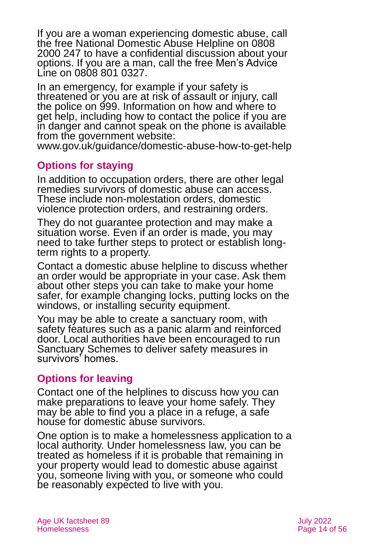If you are a woman experiencing domestic abuse, call the free [National Domestic Abuse](http://www.nationaldomesticviolencehelpline.org.uk/) Helpline on 0808 2000 247 to have a confidential discussion about your options. If you are a man, call the free [Men's Advice](http://www.mensadviceline.org.uk/)  [Line](http://www.mensadviceline.org.uk/) on 0808 801 0327.

In an emergency, for example if your safety is threatened or you are at risk of assault or injury, call the police on 999. Information on how and where to get help, including how to contact the police if you are in danger and cannot speak on the phone is available from the government website:

[www.gov.uk/guidance/domestic-abuse-how-to-get-help](http://www.gov.uk/guidance/domestic-abuse-how-to-get-help)

## **Options for staying**

In addition to occupation orders, there are other legal remedies survivors of domestic abuse can access. These include non-molestation orders, domestic violence protection orders, and restraining orders.

They do not guarantee protection and may make a situation worse. Even if an order is made, you may need to take further steps to protect or establish longterm rights to a property.

Contact a domestic abuse helpline to discuss whether an order would be appropriate in your case. Ask them about other steps you can take to make your home safer, for example changing locks, putting locks on the windows, or installing security equipment.

You may be able to create a sanctuary room, with safety features such as a panic alarm and reinforced door. Local authorities have been encouraged to run Sanctuary Schemes to deliver safety measures in survivors' homes.

### **Options for leaving**

Contact one of the helplines to discuss how you can make preparations to leave your home safely. They may be able to find you a place in a refuge, a safe house for domestic abuse survivors.

One option is to make a homelessness application to a local authority. Under homelessness law, you can be treated as homeless if it is probable that remaining in your property would lead to domestic abuse against you, someone living with you, or someone who could be reasonably expected to live with you.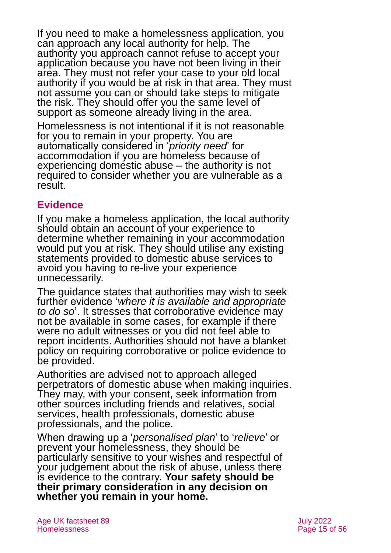If you need to make a homelessness application, you can approach any local authority for help. The authority you approach cannot refuse to accept your application because you have not been living in their area. They must not refer your case to your old local authority if you would be at risk in that area. They must not assume you can or should take steps to mitigate the risk. They should offer you the same level of support as someone already living in the area.

Homelessness is not intentional if it is not reasonable for you to remain in your property. You are automatically considered in '*priority need*' for accommodation if you are homeless because of experiencing domestic abuse – the authority is not required to consider whether you are vulnerable as a result.

## **Evidence**

If you make a homeless application, the local authority should obtain an account of your experience to determine whether remaining in your accommodation would put you at risk. They should utilise any existing statements provided to domestic abuse services to avoid you having to re-live your experience unnecessarily.

The guidance states that authorities may wish to seek further evidence '*where it is available and appropriate to do so*'. It stresses that corroborative evidence may not be available in some cases, for example if there were no adult witnesses or you did not feel able to report incidents. Authorities should not have a blanket policy on requiring corroborative or police evidence to be provided.

Authorities are advised not to approach alleged perpetrators of domestic abuse when making inquiries. They may, with your consent, seek information from other sources including friends and relatives, social services, health professionals, domestic abuse professionals, and the police.

When drawing up a '*personalised plan*' to '*relieve*' or prevent your homelessness, they should be particularly sensitive to your wishes and respectful of your judgement about the risk of abuse, unless there is evidence to the contrary. **Your safety should be their primary consideration in any decision on whether you remain in your home.**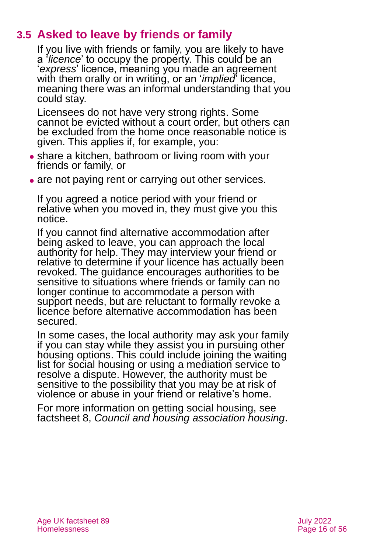## **3.5 Asked to leave by friends or family**

If you live with friends or family, you are likely to have a '*licence*' to occupy the property. This could be an '*express*' licence, meaning you made an agreement with them orally or in writing, or an '*implied*' licence, meaning there was an informal understanding that you could stay.

Licensees do not have very strong rights. Some cannot be evicted without a court order, but others can be excluded from the home once reasonable notice is given. This applies if, for example, you:

- share a kitchen, bathroom or living room with your friends or family, or
- are not paying rent or carrying out other services.

If you agreed a notice period with your friend or relative when you moved in, they must give you this notice.

If you cannot find alternative accommodation after being asked to leave, you can approach the local authority for help. They may interview your friend or relative to determine if your licence has actually been revoked. The guidance encourages authorities to be sensitive to situations where friends or family can no longer continue to accommodate a person with support needs, but are reluctant to formally revoke a licence before alternative accommodation has been secured.

In some cases, the local authority may ask your family if you can stay while they assist you in pursuing other housing options. This could include joining the waiting list for social housing or using a mediation service to resolve a dispute. However, the authority must be sensitive to the possibility that you may be at risk of violence or abuse in your friend or relative's home.

For more information on getting social housing, see factsheet 8, *[Council and housing association housing](https://www.ageuk.org.uk/globalassets/age-uk/documents/factsheets/fs8_council_and_housing_association_housing_fcs.pdf?dtrk=true)*.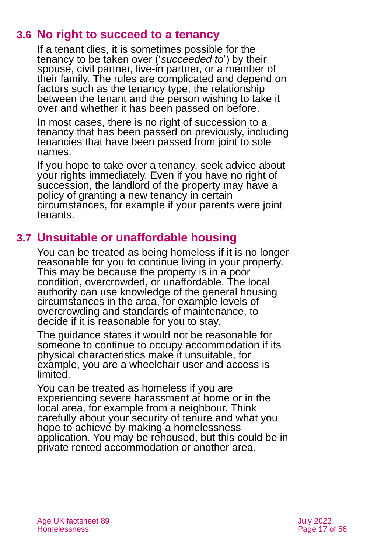## **3.6 No right to succeed to a tenancy**

If a tenant dies, it is sometimes possible for the tenancy to be taken over ('*succeeded to*') by their spouse, civil partner, live-in partner, or a member of their family. The rules are complicated and depend on factors such as the tenancy type, the relationship between the tenant and the person wishing to take it over and whether it has been passed on before.

In most cases, there is no right of succession to a tenancy that has been passed on previously, including tenancies that have been passed from joint to sole names.

If you hope to take over a tenancy, seek advice about your rights immediately. Even if you have no right of succession, the landlord of the property may have a policy of granting a new tenancy in certain circumstances, for example if your parents were joint tenants.

## **3.7 Unsuitable or unaffordable housing**

You can be treated as being homeless if it is no longer reasonable for you to continue living in your property. This may be because the property is in a poor condition, overcrowded, or unaffordable. The local authority can use knowledge of the general housing circumstances in the area, for example levels of overcrowding and standards of maintenance, to decide if it is reasonable for you to stay.

The guidance states it would not be reasonable for someone to continue to occupy accommodation if its physical characteristics make it unsuitable, for example, you are a wheelchair user and access is limited.

You can be treated as homeless if you are experiencing severe harassment at home or in the local area, for example from a neighbour. Think carefully about your security of tenure and what you hope to achieve by making a homelessness application. You may be rehoused, but this could be in private rented accommodation or another area.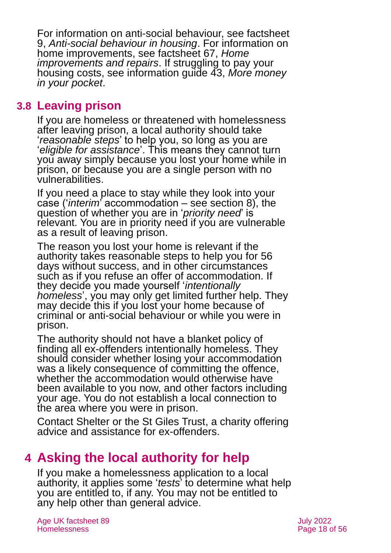For information on anti-social behaviour, see [factsheet](https://www.ageuk.org.uk/globalassets/age-uk/documents/factsheets/fs9_anti-social_behaviour_in_housing_fcs.pdf?dtrk=true)  9, *[Anti-social behaviour in housing](https://www.ageuk.org.uk/globalassets/age-uk/documents/factsheets/fs9_anti-social_behaviour_in_housing_fcs.pdf?dtrk=true)*. For information on home improvements, see [factsheet 67,](https://www.ageuk.org.uk/globalassets/age-uk/documents/factsheets/fs67_home_improvements_and_repairs_fcs.pdf?dtrk=true) *Home [improvements and repairs](https://www.ageuk.org.uk/globalassets/age-uk/documents/factsheets/fs67_home_improvements_and_repairs_fcs.pdf?dtrk=true)*. If struggling to pay your housing costs, see [information guide 43,](https://www.ageuk.org.uk/globalassets/age-uk/documents/information-guides/ageukig43_more_money_in_your_pocket_inf.pdf?dtrk=true) *More money [in your pocket](https://www.ageuk.org.uk/globalassets/age-uk/documents/information-guides/ageukig43_more_money_in_your_pocket_inf.pdf?dtrk=true)*.

## **3.8 Leaving prison**

If you are homeless or threatened with homelessness after leaving prison, a local authority should take '*reasonable steps*' to help you, so long as you are '*eligible for assistance*'. This means they cannot turn you away simply because you lost your home while in prison, or because you are a single person with no vulnerabilities.

If you need a place to stay while they look into your case ('*interim*' accommodation – see [section 8\)](#page-42-0), the question of whether you are in '*priority need*' is relevant. You are in priority need if you are vulnerable as a result of leaving prison.

The reason you lost your home is relevant if the authority takes reasonable steps to help you for 56 days without success, and in other circumstances such as if you refuse an offer of accommodation. If they decide you made yourself '*intentionally homeless*', you may only get limited further help. They may decide this if you lost your home because of criminal or anti-social behaviour or while you were in prison.

The authority should not have a blanket policy of finding all ex-offenders intentionally homeless. They should consider whether losing your accommodation was a likely consequence of committing the offence, whether the accommodation would otherwise have been available to you now, and other factors including your age. You do not establish a local connection to the area where you were in prison.

Contact [Shelter](#page-53-0) or the [St Giles Trust,](#page-53-1) a charity offering advice and assistance for ex-offenders.

## <span id="page-17-0"></span>**4 Asking the local authority for help**

If you make a homelessness application to a local authority, it applies some '*tests*' to determine what help you are entitled to, if any. You may not be entitled to any help other than general advice.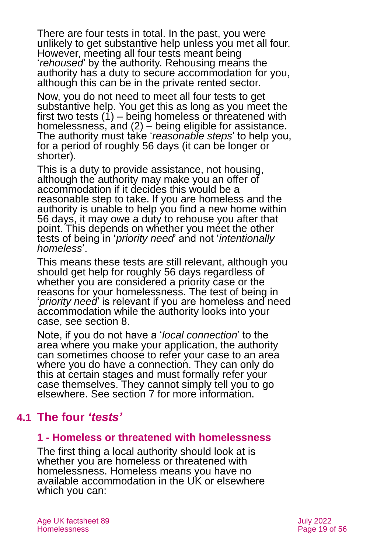There are four tests in total. In the past, you were unlikely to get substantive help unless you met all four. However, meeting all four tests meant being '*rehoused*' by the authority. Rehousing means the authority has a duty to secure accommodation for you, although this can be in the private rented sector.

Now, you do not need to meet all four tests to get substantive help. You get this as long as you meet the first two tests  $(1)$  – being homeless or threatened with homelessness, and  $(2)$  – being eligible for assistance. The authority must take '*reasonable steps*' to help you, for a period of roughly 56 days (it can be longer or shorter).

This is a duty to provide assistance, not housing, although the authority may make you an offer of accommodation if it decides this would be a reasonable step to take. If you are homeless and the authority is unable to help you find a new home within 56 days, it may owe a duty to rehouse you after that point. This depends on whether you meet the other tests of being in '*priority need*' and not '*intentionally homeless*'.

This means these tests are still relevant, although you should get help for roughly 56 days regardless of whether you are considered a priority case or the reasons for your homelessness. The test of being in '*priority need*' is relevant if you are homeless and need accommodation while the authority looks into your case, see [section 8.](#page-42-0)

Note, if you do not have a '*local connection*' to the area where you make your application, the authority can sometimes choose to refer your case to an area where you do have a connection. They can only do this at certain stages and must formally refer your case themselves. They cannot simply tell you to go elsewhere. See [section 7](#page-39-0) for more information.

## <span id="page-18-0"></span>**4.1 The four** *'tests'*

### **1 - Homeless or threatened with homelessness**

The first thing a local authority should look at is whether you are homeless or threatened with homelessness. Homeless means you have no available accommodation in the UK or elsewhere which you can: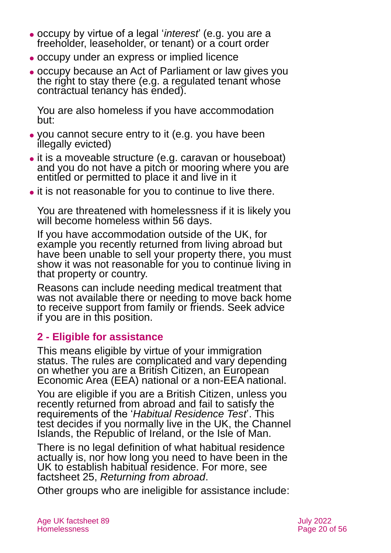- ⚫ occupy by virtue of a legal '*interest*' (e.g. you are a freeholder, leaseholder, or tenant) or a court order
- ⚫ occupy under an express or implied licence
- ⚫ occupy because an Act of Parliament or law gives you the right to stay there (e.g. a regulated tenant whose contractual tenancy has ended).

You are also homeless if you have accommodation but:

- ⚫ you cannot secure entry to it (e.g. you have been illegally evicted)
- ⚫ it is a moveable structure (e.g. caravan or houseboat) and you do not have a pitch or mooring where you are entitled or permitted to place it and live in it
- ⚫ it is not reasonable for you to continue to live there.

You are threatened with homelessness if it is likely you will become homeless within 56 days.

If you have accommodation outside of the UK, for example you recently returned from living abroad but have been unable to sell your property there, you must show it was not reasonable for you to continue living in that property or country.

Reasons can include needing medical treatment that was not available there or needing to move back home to receive support from family or friends. Seek advice if you are in this position.

## **2 - Eligible for assistance**

This means eligible by virtue of your immigration status. The rules are complicated and vary depending on whether you are a British Citizen, an European Economic Area (EEA) national or a non-EEA national.

You are eligible if you are a British Citizen, unless you recently returned from abroad and fail to satisfy the requirements of the '*Habitual Residence Test*'. This test decides if you normally live in the UK, the Channel Islands, the Republic of Ireland, or the Isle of Man.

There is no legal definition of what habitual residence actually is, nor how long you need to have been in the UK to establish habitual residence. For more, see factsheet 25, *[Returning from abroad](https://www.ageuk.org.uk/globalassets/age-uk/documents/factsheets/fs25_returning_from_abroad_fcs.pdf?dtrk=true)*.

Other groups who are ineligible for assistance include: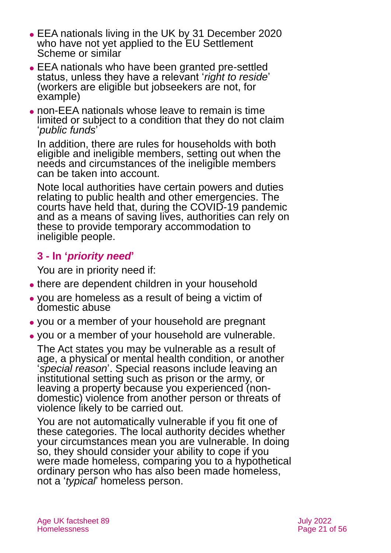- ⚫ EEA nationals living in the UK by 31 December 2020 who have not yet applied to the EU Settlement Scheme or similar
- ⚫ EEA nationals who have been granted pre-settled status, unless they have a relevant '*right to reside*' (workers are eligible but jobseekers are not, for example)
- ⚫ non-EEA nationals whose leave to remain is time limited or subject to a condition that they do not claim '*public funds*'

In addition, there are rules for households with both eligible and ineligible members, setting out when the needs and circumstances of the ineligible members can be taken into account.

Note local authorities have certain powers and duties relating to public health and other emergencies. The courts have held that, during the COVID-19 pandemic and as a means of saving lives, authorities can rely on these to provide temporary accommodation to ineligible people.

## **3 - In '***priority need***'**

You are in priority need if:

- there are dependent children in your household
- ⚫ you are homeless as a result of being a victim of domestic abuse
- ⚫ you or a member of your household are pregnant
- ⚫ you or a member of your household are vulnerable.

The Act states you may be vulnerable as a result of age, a physical or mental health condition, or another '*special reason*'. Special reasons include leaving an institutional setting such as prison or the army, or leaving a property because you experienced (nondomestic) violence from another person or threats of violence likely to be carried out.

You are not automatically vulnerable if you fit one of these categories. The local authority decides whether your circumstances mean you are vulnerable. In doing so, they should consider your ability to cope if you were made homeless, comparing you to a hypothetical ordinary person who has also been made homeless, not a '*typical*' homeless person.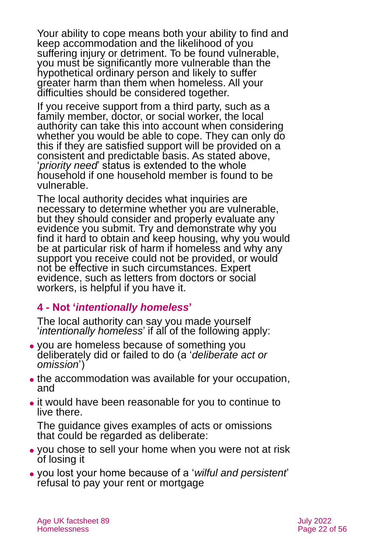Your ability to cope means both your ability to find and keep accommodation and the likelihood of you suffering injury or detriment. To be found vulnerable, you must be significantly more vulnerable than the hypothetical ordinary person and likely to suffer greater harm than them when homeless. All your difficulties should be considered together.

If you receive support from a third party, such as a family member, doctor, or social worker, the local authority can take this into account when considering whether you would be able to cope. They can only do this if they are satisfied support will be provided on a consistent and predictable basis. As stated above, '*priority need*' status is extended to the whole household if one household member is found to be vulnerable.

The local authority decides what inquiries are necessary to determine whether you are vulnerable, but they should consider and properly evaluate any evidence you submit. Try and demonstrate why you find it hard to obtain and keep housing, why you would be at particular risk of harm if homeless and why any support you receive could not be provided, or would not be effective in such circumstances. Expert evidence, such as letters from doctors or social workers, is helpful if you have it.

## **4 - Not '***intentionally homeless***'**

The local authority can say you made yourself '*intentionally homeless*' if all of the following apply:

- ⚫ you are homeless because of something you deliberately did or failed to do (a '*deliberate act or omission*')
- ⚫ the accommodation was available for your occupation, and
- ⚫ it would have been reasonable for you to continue to live there.

The guidance gives examples of acts or omissions that could be regarded as deliberate:

- ⚫ you chose to sell your home when you were not at risk of losing it
- ⚫ you lost your home because of a '*wilful and persistent*' refusal to pay your rent or mortgage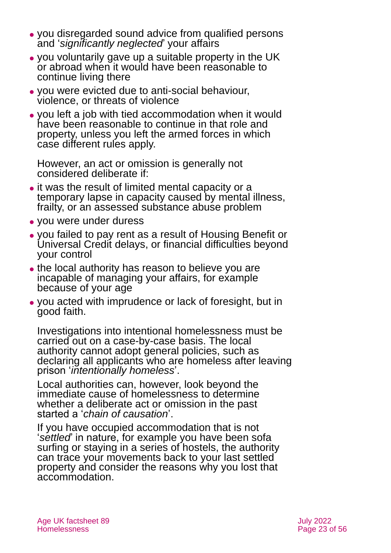- ⚫ you disregarded sound advice from qualified persons and '*significantly neglected*' your affairs
- ⚫ you voluntarily gave up a suitable property in the UK or abroad when it would have been reasonable to continue living there
- ⚫ you were evicted due to anti-social behaviour, violence, or threats of violence
- ⚫ you left a job with tied accommodation when it would have been reasonable to continue in that role and property, unless you left the armed forces in which case different rules apply.

However, an act or omission is generally not considered deliberate if:

- it was the result of limited mental capacity or a temporary lapse in capacity caused by mental illness, frailty, or an assessed substance abuse problem
- ⚫ you were under duress
- ⚫ you failed to pay rent as a result of Housing Benefit or Universal Credit delays, or financial difficulties beyond your control
- the local authority has reason to believe you are incapable of managing your affairs, for example because of your age
- ⚫ you acted with imprudence or lack of foresight, but in good faith.

Investigations into intentional homelessness must be carried out on a case-by-case basis. The local authority cannot adopt general policies, such as declaring all applicants who are homeless after leaving prison '*intentionally homeless*'.

Local authorities can, however, look beyond the immediate cause of homelessness to determine whether a deliberate act or omission in the past started a '*chain of causation*'.

If you have occupied accommodation that is not '*settled*' in nature, for example you have been sofa surfing or staying in a series of hostels, the authority can trace your movements back to your last settled property and consider the reasons why you lost that accommodation.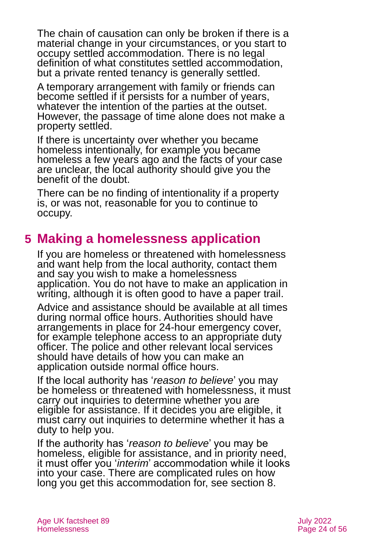The chain of causation can only be broken if there is a material change in your circumstances, or you start to occupy settled accommodation. There is no legal definition of what constitutes settled accommodation, but a private rented tenancy is generally settled.

A temporary arrangement with family or friends can become settled if it persists for a number of years, whatever the intention of the parties at the outset. However, the passage of time alone does not make a property settled.

If there is uncertainty over whether you became homeless intentionally, for example you became homeless a few years ago and the facts of your case are unclear, the local authority should give you the benefit of the doubt.

There can be no finding of intentionality if a property is, or was not, reasonable for you to continue to occupy.

## <span id="page-23-0"></span>**5 Making a homelessness application**

If you are homeless or threatened with homelessness and want help from the local authority, contact them and say you wish to make a homelessness application. You do not have to make an application in writing, although it is often good to have a paper trail.

Advice and assistance should be available at all times during normal office hours. Authorities should have arrangements in place for 24-hour emergency cover, for example telephone access to an appropriate duty officer. The police and other relevant local services should have details of how you can make an application outside normal office hours.

If the local authority has '*reason to believe*' you may be homeless or threatened with homelessness, it must carry out inquiries to determine whether you are eligible for assistance. If it decides you are eligible, it must carry out inquiries to determine whether it has a duty to help you.

If the authority has '*reason to believe*' you may be homeless, eligible for assistance, and in priority need, it must offer you '*interim*' accommodation while it looks into your case. There are complicated rules on how long you get this accommodation for, see [section 8.](#page-42-0)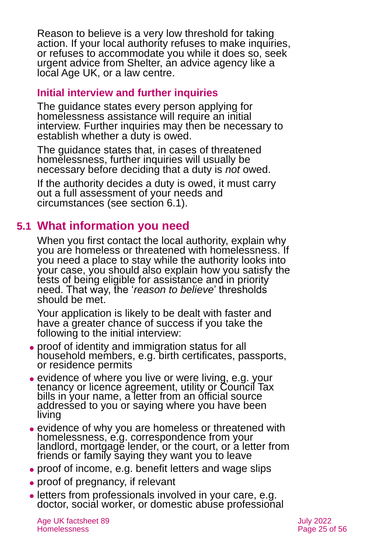Reason to believe is a very low threshold for taking action. If your local authority refuses to make inquiries, or refuses to accommodate you while it does so, seek urgent advice from [Shelter,](https://www.shelter.org.uk/) an advice agency like a local [Age](#page-54-1) UK, or a [law centre.](https://www.lawcentres.org.uk/)

### **Initial interview and further inquiries**

The guidance states every person applying for homelessness assistance will require an initial interview. Further inquiries may then be necessary to establish whether a duty is owed.

The guidance states that, in cases of threatened homelessness, further inquiries will usually be necessary before deciding that a duty is *not* owed.

If the authority decides a duty is owed, it must carry out a full assessment of your needs and circumstances (see [section 6.1\)](#page-26-1).

## **5.1 What information you need**

When you first contact the local authority, explain why you are homeless or threatened with homelessness. If you need a place to stay while the authority looks into your case, you should also explain how you satisfy the tests of being eligible for assistance and in priority need. That way, the '*reason to believe*' thresholds should be met.

Your application is likely to be dealt with faster and have a greater chance of success if you take the following to the initial interview:

- ⚫ proof of identity and immigration status for all household members, e.g. birth certificates, passports, or residence permits
- evidence of where you live or were living, e.g. your tenancy or licence agreement, utility or Council Tax bills in your name, a letter from an official source addressed to you or saying where you have been living
- ⚫ evidence of why you are homeless or threatened with homelessness, e.g. correspondence from your landlord, mortgage lender, or the court, or a letter from friends or family saying they want you to leave
- proof of income, e.g. benefit letters and wage slips
- proof of pregnancy, if relevant
- ⚫ letters from professionals involved in your care, e.g. doctor, social worker, or domestic abuse professional

Age UK factsheet 89 July 2022 Homelessness Page 25 of 56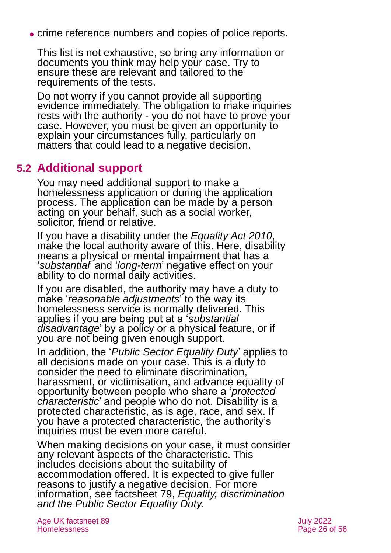⚫ crime reference numbers and copies of police reports.

This list is not exhaustive, so bring any information or documents you think may help your case. Try to ensure these are relevant and tailored to the requirements of the tests.

Do not worry if you cannot provide all supporting evidence immediately. The obligation to make inquiries rests with the authority - you do not have to prove your case. However, you must be given an opportunity to explain your circumstances fully, particularly on matters that could lead to a negative decision.

## **5.2 Additional support**

You may need additional support to make a homelessness application or during the application process. The application can be made by a person acting on your behalf, such as a social worker, solicitor, friend or relative.

If you have a disability under the *[Equality Act 2010](http://www.legislation.gov.uk/ukpga/2010/15/contents)*, make the local authority aware of this. Here, disability means a physical or mental impairment that has a '*substantial*' and '*long-term*' negative effect on your ability to do normal daily activities.

If you are disabled, the authority may have a duty to make '*reasonable adjustments*' to the way its homelessness service is normally delivered. This applies if you are being put at a '*substantial disadvantage*' by a policy or a physical feature, or if you are not being given enough support.

In addition, the '*Public Sector Equality Duty*' applies to all decisions made on your case. This is a duty to consider the need to eliminate discrimination, harassment, or victimisation, and advance equality of opportunity between people who share a '*protected characteristic*' and people who do not. Disability is a protected characteristic, as is age, race, and sex. If you have a protected characteristic, the authority's inquiries must be even more careful.

When making decisions on your case, it must consider any relevant aspects of the characteristic. This includes decisions about the suitability of accommodation offered. It is expected to give fuller reasons to justify a negative decision. For more information, see factsheet 79, *[Equality, discrimination](https://www.ageuk.org.uk/globalassets/age-uk/documents/factsheets/fs79_equality_discrimination_and_the_public_sector_equality_duty_fcs.pdf)  [and the Public Sector Equality Duty.](https://www.ageuk.org.uk/globalassets/age-uk/documents/factsheets/fs79_equality_discrimination_and_the_public_sector_equality_duty_fcs.pdf)*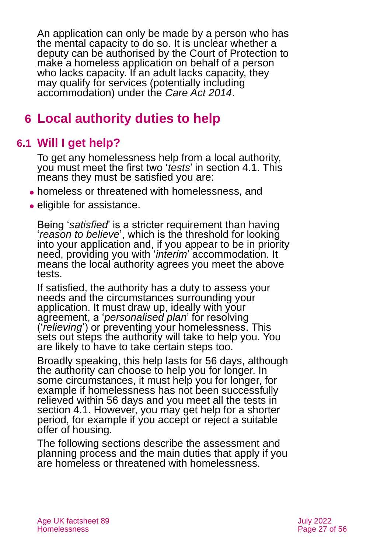An application can only be made by a person who has the mental capacity to do so. It is unclear whether a deputy can be authorised by the Court of Protection to make a homeless application on behalf of a person who lacks capacity. If an adult lacks capacity, they may qualify for services (potentially including accommodation) under the *Care Act 2014*.

## <span id="page-26-1"></span><span id="page-26-0"></span>**6 Local authority duties to help**

## **6.1 Will I get help?**

To get any homelessness help from a local authority, you must meet the first two '*tests*' in [section 4.1.](#page-18-0) This means they must be satisfied you are:

- ⚫ homeless or threatened with homelessness, and
- eligible for assistance.

Being '*satisfied*' is a stricter requirement than having '*reason to believe*', which is the threshold for looking into your application and, if you appear to be in priority need, providing you with '*interim*' accommodation. It means the local authority agrees you meet the above tests.

If satisfied, the authority has a duty to assess your needs and the circumstances surrounding your application. It must draw up, ideally with your agreement, a '*personalised plan*' for resolving ('*relieving*') or preventing your homelessness. This sets out steps the authority will take to help you. You are likely to have to take certain steps too.

Broadly speaking, this help lasts for 56 days, although the authority can choose to help you for longer. In some circumstances, it must help you for longer, for example if homelessness has not been successfully relieved within 56 days and you meet all the tests in [section 4.1.](#page-18-0) However, you may get help for a shorter period, for example if you accept or reject a suitable offer of housing.

The following sections describe the assessment and planning process and the main duties that apply if you are homeless or threatened with homelessness.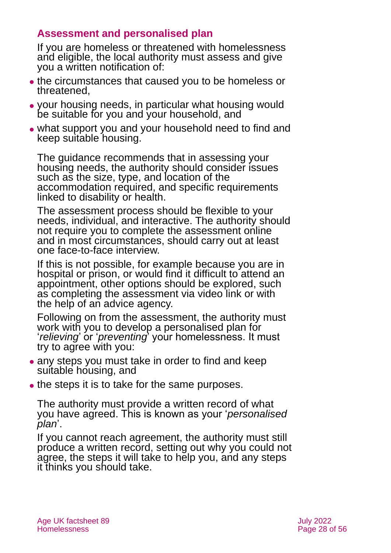## **Assessment and personalised plan**

If you are homeless or threatened with homelessness and eligible, the local authority must assess and give you a written notification of:

- ⚫ the circumstances that caused you to be homeless or threatened,
- ⚫ your housing needs, in particular what housing would be suitable for you and your household, and
- ⚫ what support you and your household need to find and keep suitable housing.

The guidance recommends that in assessing your housing needs, the authority should consider issues such as the size, type, and location of the accommodation required, and specific requirements linked to disability or health.

The assessment process should be flexible to your needs, individual, and interactive. The authority should not require you to complete the assessment online and in most circumstances, should carry out at least one face-to-face interview.

If this is not possible, for example because you are in hospital or prison, or would find it difficult to attend an appointment, other options should be explored, such as completing the assessment via video link or with the help of an advice agency.

Following on from the assessment, the authority must work with you to develop a personalised plan for '*relieving*' or '*preventing*' your homelessness. It must try to agree with you:

- any steps you must take in order to find and keep suitable housing, and
- the steps it is to take for the same purposes.

The authority must provide a written record of what you have agreed. This is known as your '*personalised plan*'.

If you cannot reach agreement, the authority must still produce a written record, setting out why you could not agree, the steps it will take to help you, and any steps it thinks you should take.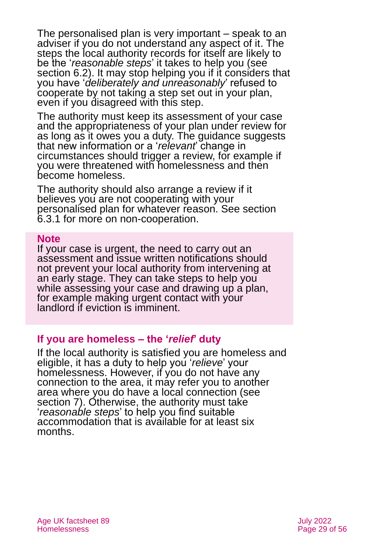The personalised plan is very important – speak to an adviser if you do not understand any aspect of it. The steps the local authority records for itself are likely to be the '*reasonable steps*' it takes to help you (see [section 6.2\)](#page-30-0). It may stop helping you if it considers that you have '*deliberately and unreasonably*' refused to cooperate by not taking a step set out in your plan, even if you disagreed with this step.

The authority must keep its assessment of your case and the appropriateness of your plan under review for as long as it owes you a duty. The guidance suggests that new information or a '*relevant*' change in circumstances should trigger a review, for example if you were threatened with homelessness and then become homeless.

The authority should also arrange a review if it believes you are not cooperating with your personalised plan for whatever reason. See [section](#page-32-0)  [6.3.1](#page-32-0) for more on non-cooperation.

#### **Note**

If your case is urgent, the need to carry out an assessment and issue written notifications should not prevent your local authority from intervening at an early stage. They can take steps to help you while assessing your case and drawing up a plan, for example making urgent contact with your landlord if eviction is imminent.

#### **If you are homeless – the '***relief***' duty**

If the local authority is satisfied you are homeless and eligible, it has a duty to help you '*relieve*' your homelessness. However, if you do not have any connection to the area, it may refer you to another area where you do have a local connection (see [section 7\)](#page-39-0). Otherwise, the authority must take '*reasonable steps*' to help you find suitable accommodation that is available for at least six months.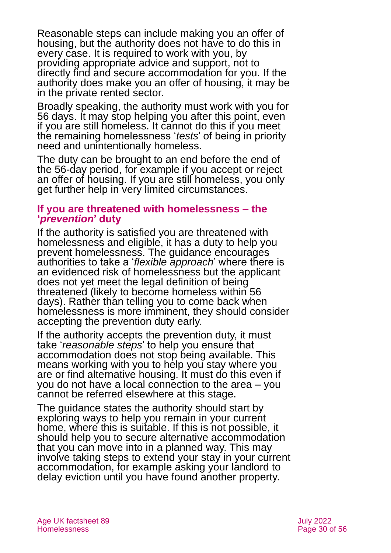Reasonable steps can include making you an offer of housing, but the authority does not have to do this in every case. It is required to work with you, by providing appropriate advice and support, not to directly find and secure accommodation for you. If the authority does make you an offer of housing, it may be in the private rented sector.

Broadly speaking, the authority must work with you for 56 days. It may stop helping you after this point, even if you are still homeless. It cannot do this if you meet the remaining homelessness '*tests*' of being in priority need and unintentionally homeless.

The duty can be brought to an end before the end of the 56-day period, for example if you accept or reject an offer of housing. If you are still homeless, you only get further help in very limited circumstances.

#### **If you are threatened with homelessness – the '***prevention***' duty**

If the authority is satisfied you are threatened with homelessness and eligible, it has a duty to help you prevent homelessness. The guidance encourages authorities to take a '*flexible approach*' where there is an evidenced risk of homelessness but the applicant does not yet meet the legal definition of being threatened (likely to become homeless within 56 days). Rather than telling you to come back when homelessness is more imminent, they should consider accepting the prevention duty early.

If the authority accepts the prevention duty, it must take '*reasonable steps*' to help you ensure that accommodation does not stop being available. This means working with you to help you stay where you are or find alternative housing. It must do this even if you do not have a local connection to the area – you cannot be referred elsewhere at this stage.

The guidance states the authority should start by exploring ways to help you remain in your current home, where this is suitable. If this is not possible, it should help you to secure alternative accommodation that you can move into in a planned way. This may involve taking steps to extend your stay in your current accommodation, for example asking your landlord to delay eviction until you have found another property.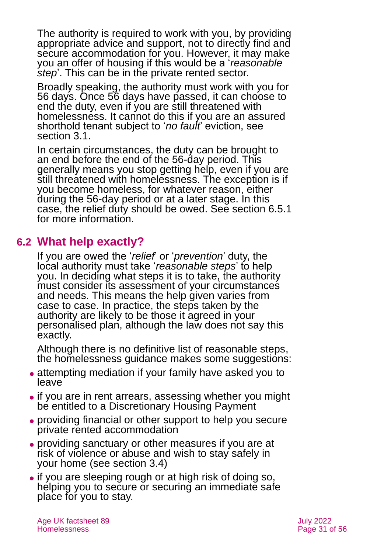The authority is required to work with you, by providing appropriate advice and support, not to directly find and secure accommodation for you. However, it may make you an offer of housing if this would be a '*reasonable step*'. This can be in the private rented sector.

Broadly speaking, the authority must work with you for 56 days. Once 56 days have passed, it can choose to end the duty, even if you are still threatened with homelessness. It cannot do this if you are an assured shorthold tenant subject to '*no fault*' eviction, see [section 3.1.](#page-6-0)

In certain circumstances, the duty can be brought to an end before the end of the 56-day period. This generally means you stop getting help, even if you are still threatened with homelessness. The exception is if you become homeless, for whatever reason, either during the 56-day period or at a later stage. In this case, the relief duty should be owed. See [section 6.5.1](#page-36-0) for more information.

## <span id="page-30-0"></span>**6.2 What help exactly?**

If you are owed the '*relief*' or '*prevention*' duty, the local authority must take '*reasonable steps*' to help you. In deciding what steps it is to take, the authority must consider its assessment of your circumstances and needs. This means the help given varies from case to case. In practice, the steps taken by the authority are likely to be those it agreed in your personalised plan, although the law does not say this exactly.

Although there is no definitive list of reasonable steps, the homelessness guidance makes some suggestions:

- ⚫ attempting mediation if your family have asked you to leave
- ⚫ if you are in rent arrears, assessing whether you might be entitled to a Discretionary Housing Payment
- ⚫ providing financial or other support to help you secure private rented accommodation
- ⚫ providing sanctuary or other measures if you are at risk of violence or abuse and wish to stay safely in your home (see [section 3.4\)](#page-12-0)
- ⚫ if you are sleeping rough or at high risk of doing so, helping you to secure or securing an immediate safe place for you to stay.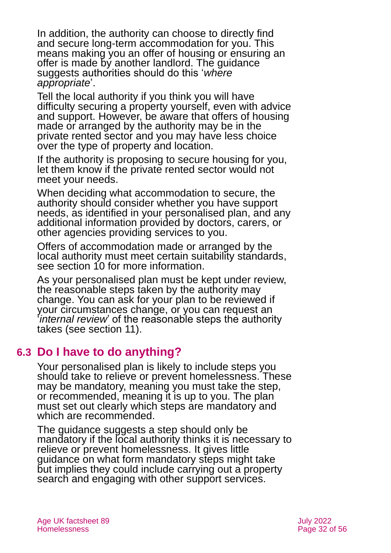In addition, the authority can choose to directly find and secure long-term accommodation for you. This means making you an offer of housing or ensuring an offer is made by another landlord. The guidance suggests authorities should do this '*where appropriate*'.

Tell the local authority if you think you will have difficulty securing a property yourself, even with advice and support. However, be aware that offers of housing made or arranged by the authority may be in the private rented sector and you may have less choice over the type of property and location.

If the authority is proposing to secure housing for you, let them know if the private rented sector would not meet your needs.

When deciding what accommodation to secure, the authority should consider whether you have support needs, as identified in your personalised plan, and any additional information provided by doctors, carers, or other agencies providing services to you.

Offers of accommodation made or arranged by the local authority must meet certain suitability standards, see [section 10](#page-45-0) for more information.

As your personalised plan must be kept under review, the reasonable steps taken by the authority may change. You can ask for your plan to be reviewed if your circumstances change, or you can request an '*internal review*' of the reasonable steps the authority takes (see [section 11](#page-49-0)).

## **6.3 Do I have to do anything?**

Your personalised plan is likely to include steps you should take to relieve or prevent homelessness. These may be mandatory, meaning you must take the step, or recommended, meaning it is up to you. The plan must set out clearly which steps are mandatory and which are recommended.

The guidance suggests a step should only be mandatory if the local authority thinks it is necessary to relieve or prevent homelessness. It gives little guidance on what form mandatory steps might take but implies they could include carrying out a property search and engaging with other support services.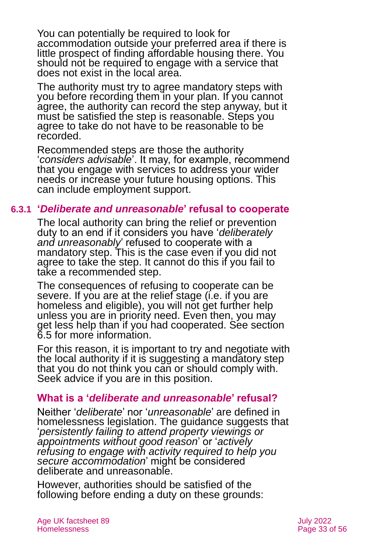You can potentially be required to look for accommodation outside your preferred area if there is little prospect of finding affordable housing there. You should not be required to engage with a service that does not exist in the local area.

The authority must try to agree mandatory steps with you before recording them in your plan. If you cannot agree, the authority can record the step anyway, but it must be satisfied the step is reasonable. Steps you agree to take do not have to be reasonable to be recorded.

Recommended steps are those the authority '*considers advisable*'. It may, for example, recommend that you engage with services to address your wider needs or increase your future housing options. This can include employment support.

#### **6.3.1 '***Deliberate and unreasonable***' refusal to cooperate**

<span id="page-32-0"></span>The local authority can bring the relief or prevention duty to an end if it considers you have '*deliberately and unreasonably*' refused to cooperate with a mandatory step. This is the case even if you did not agree to take the step. It cannot do this if you fail to take a recommended step.

The consequences of refusing to cooperate can be severe. If you are at the relief stage (i.e. if you are homeless and eligible), you will not get further help unless you are in priority need. Even then, you may get less help than if you had cooperated. See [section](#page-36-1)  [6.5](#page-36-1) for more information.

For this reason, it is important to try and negotiate with the local authority if it is suggesting a mandatory step that you do not think you can or should comply with. Seek advice if you are in this position.

#### **What is a '***deliberate and unreasonable***' refusal?**

Neither '*deliberate*' nor '*unreasonable*' are defined in homelessness legislation. The guidance suggests that '*persistently failing to attend property viewings or appointments without good reason*' or '*actively refusing to engage with activity required to help you secure accommodation*' might be considered deliberate and unreasonable.

However, authorities should be satisfied of the following before ending a duty on these grounds: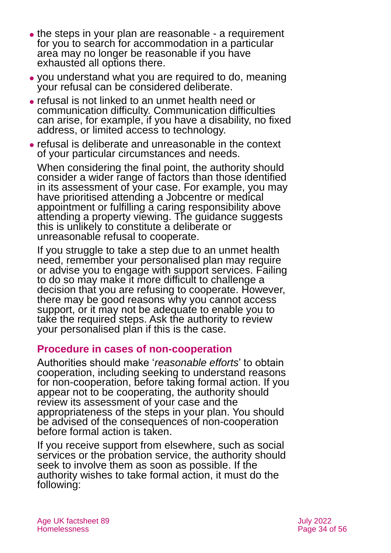- the steps in your plan are reasonable a requirement for you to search for accommodation in a particular area may no longer be reasonable if you have exhausted all options there.
- ⚫ you understand what you are required to do, meaning your refusal can be considered deliberate.
- ⚫ refusal is not linked to an unmet health need or communication difficulty. Communication difficulties can arise, for example, if you have a disability, no fixed address, or limited access to technology.
- ⚫ refusal is deliberate and unreasonable in the context of your particular circumstances and needs.

When considering the final point, the authority should consider a wider range of factors than those identified in its assessment of your case. For example, you may have prioritised attending a Jobcentre or medical appointment or fulfilling a caring responsibility above attending a property viewing. The guidance suggests this is unlikely to constitute a deliberate or unreasonable refusal to cooperate.

If you struggle to take a step due to an unmet health need, remember your personalised plan may require or advise you to engage with support services. Failing to do so may make it more difficult to challenge a decision that you are refusing to cooperate. However, there may be good reasons why you cannot access support, or it may not be adequate to enable you to take the required steps. Ask the authority to review your personalised plan if this is the case.

### **Procedure in cases of non-cooperation**

Authorities should make '*reasonable efforts*' to obtain cooperation, including seeking to understand reasons for non-cooperation, before taking formal action. If you appear not to be cooperating, the authority should review its assessment of your case and the appropriateness of the steps in your plan. You should be advised of the consequences of non-cooperation before formal action is taken.

If you receive support from elsewhere, such as social services or the probation service, the authority should seek to involve them as soon as possible. If the authority wishes to take formal action, it must do the following: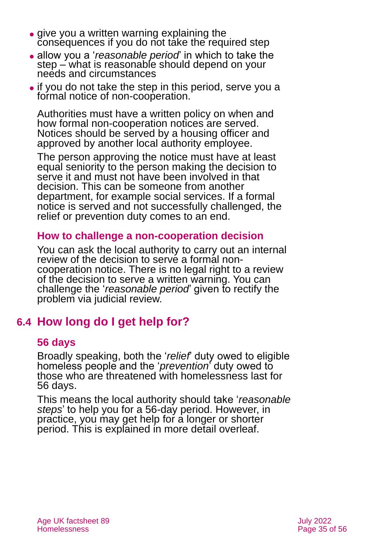- give you a written warning explaining the consequences if you do not take the required step
- ⚫ allow you a '*reasonable period*' in which to take the step – what is reasonable should depend on your needs and circumstances
- ⚫ if you do not take the step in this period, serve you a formal notice of non-cooperation.

Authorities must have a written policy on when and how formal non-cooperation notices are served. Notices should be served by a housing officer and approved by another local authority employee.

The person approving the notice must have at least equal seniority to the person making the decision to serve it and must not have been involved in that decision. This can be someone from another department, for example social services. If a formal notice is served and not successfully challenged, the relief or prevention duty comes to an end.

### **How to challenge a non-cooperation decision**

You can ask the local authority to carry out an internal review of the decision to serve a formal noncooperation notice. There is no legal right to a review of the decision to serve a written warning. You can challenge the '*reasonable period*' given to rectify the problem via judicial review.

## **6.4 How long do I get help for?**

### **56 days**

Broadly speaking, both the '*relief*' duty owed to eligible homeless people and the '*prevention*' duty owed to those who are threatened with homelessness last for 56 days.

This means the local authority should take '*reasonable steps*' to help you for a 56-day period. However, in practice, you may get help for a longer or shorter period. This is explained in more detail overleaf.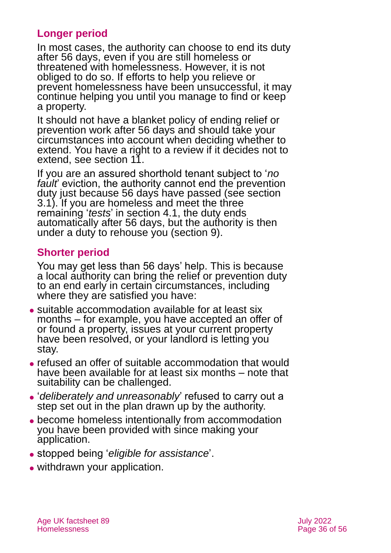### **Longer period**

In most cases, the authority can choose to end its duty after 56 days, even if you are still homeless or threatened with homelessness. However, it is not obliged to do so. If efforts to help you relieve or prevent homelessness have been unsuccessful, it may continue helping you until you manage to find or keep a property.

It should not have a blanket policy of ending relief or prevention work after 56 days and should take your circumstances into account when deciding whether to extend. You have a right to a review if it decides not to extend, see [section 11](#page-49-0).

If you are an assured shorthold tenant subject to '*no*  fault<sup>'</sup> eviction, the authority cannot end the prevention duty just because 56 days have passed (see [section](#page-6-0)  [3.1\)](#page-6-0). If you are homeless and meet the three remaining '*tests*' in [section 4.1,](#page-18-0) the duty ends automatically after 56 days, but the authority is then under a duty to rehouse you [\(section 9](#page-44-0)).

### **Shorter period**

You may get less than 56 days' help. This is because a local authority can bring the relief or prevention duty to an end early in certain circumstances, including where they are satisfied you have:

- ⚫ suitable accommodation available for at least six months – for example, you have accepted an offer of or found a property, issues at your current property have been resolved, or your landlord is letting you stay.
- ⚫ refused an offer of suitable accommodation that would have been available for at least six months – note that suitability can be challenged.
- ⚫ '*deliberately and unreasonably*' refused to carry out a step set out in the plan drawn up by the authority.
- ⚫ become homeless intentionally from accommodation you have been provided with since making your application.
- ⚫ stopped being '*eligible for assistance*'.
- withdrawn your application.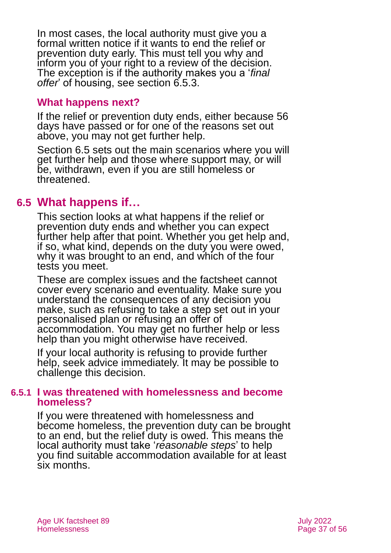In most cases, the local authority must give you a formal written notice if it wants to end the relief or prevention duty early. This must tell you why and inform you of your right to a review of the decision. The exception is if the authority makes you a '*final offer*' of housing, see [section 6.5.3.](#page-38-0)

#### **What happens next?**

If the relief or prevention duty ends, either because 56 days have passed or for one of the reasons set out above, you may not get further help.

[Section 6.5](#page-36-1) sets out the main scenarios where you will get further help and those where support may, or will be, withdrawn, even if you are still homeless or threatened.

## <span id="page-36-1"></span>**6.5 What happens if…**

This section looks at what happens if the relief or prevention duty ends and whether you can expect further help after that point. Whether you get help and, if so, what kind, depends on the duty you were owed, why it was brought to an end, and which of the four tests you meet.

These are complex issues and the factsheet cannot cover every scenario and eventuality. Make sure you understand the consequences of any decision you make, such as refusing to take a step set out in your personalised plan or refusing an offer of accommodation. You may get no further help or less help than you might otherwise have received.

If your local authority is refusing to provide further help, seek advice immediately. It may be possible to challenge this decision.

#### <span id="page-36-0"></span>**6.5.1 I was threatened with homelessness and become homeless?**

If you were threatened with homelessness and become homeless, the prevention duty can be brought to an end, but the relief duty is owed. This means the local authority must take '*reasonable steps*' to help you find suitable accommodation available for at least six months.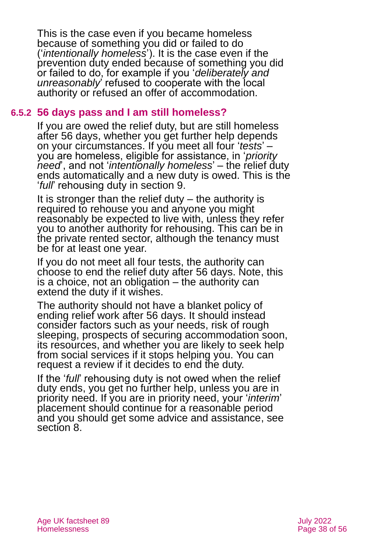This is the case even if you became homeless because of something you did or failed to do ('*intentionally homeless*'). It is the case even if the prevention duty ended because of something you did or failed to do, for example if you '*deliberately and unreasonably*' refused to cooperate with the local authority or refused an offer of accommodation.

#### **6.5.2 56 days pass and I am still homeless?**

If you are owed the relief duty, but are still homeless after 56 days, whether you get further help depends on your circumstances. If you meet all four '*tests*' – you are homeless, eligible for assistance, in '*priority need*', and not '*intentionally homeless*' – the relief duty ends automatically and a new duty is owed. This is the '*full*' rehousing duty in [section 9](#page-44-0).

It is stronger than the relief duty  $-$  the authority is required to rehouse you and anyone you might reasonably be expected to live with, unless they refer you to another authority for rehousing. This can be in the private rented sector, although the tenancy must be for at least one year.

If you do not meet all four tests, the authority can choose to end the relief duty after 56 days. Note, this is a choice, not an obligation – the authority can extend the duty if it wishes.

The authority should not have a blanket policy of ending relief work after 56 days. It should instead consider factors such as your needs, risk of rough sleeping, prospects of securing accommodation soon, its resources, and whether you are likely to seek help from social services if it stops helping you. You can request a review if it decides to end the duty.

If the '*full*' rehousing duty is not owed when the relief duty ends, you get no further help, unless you are in priority need. If you are in priority need, your '*interim*' placement should continue for a reasonable period and you should get some advice and assistance, see [section 8.](#page-42-0)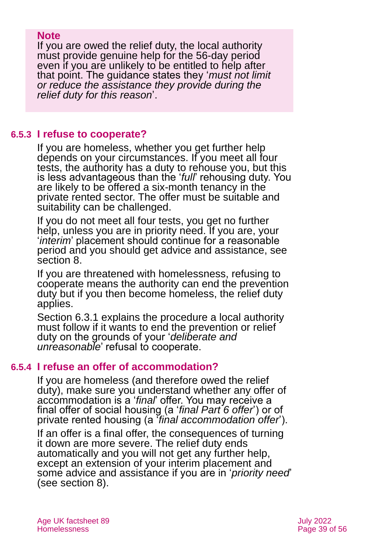#### **Note**

If you are owed the relief duty, the local authority must provide genuine help for the 56-day period even if you are unlikely to be entitled to help after that point. The guidance states they '*must not limit or reduce the assistance they provide during the relief duty for this reason*'.

### **6.5.3 I refuse to cooperate?**

<span id="page-38-0"></span>If you are homeless, whether you get further help depends on your circumstances. If you meet all four tests, the authority has a duty to rehouse you, but this is less advantageous than the '*full*' rehousing duty. You are likely to be offered a six-month tenancy in the private rented sector. The offer must be suitable and suitability can be challenged.

If you do not meet all four tests, you get no further help, unless you are in priority need. If you are, your '*interim*' placement should continue for a reasonable period and you should get advice and assistance, see [section 8.](#page-42-0)

If you are threatened with homelessness, refusing to cooperate means the authority can end the prevention duty but if you then become homeless, the relief duty applies.

[Section 6.3.1](#page-32-0) explains the procedure a local authority must follow if it wants to end the prevention or relief duty on the grounds of your '*deliberate and unreasonable*' refusal to cooperate.

#### **6.5.4 I refuse an offer of accommodation?**

If you are homeless (and therefore owed the relief duty), make sure you understand whether any offer of accommodation is a '*final*' offer. You may receive a final offer of social housing (a '*final Part 6 offer*') or of private rented housing (a '*final accommodation offer*').

If an offer is a final offer, the consequences of turning it down are more severe. The relief duty ends automatically and you will not get any further help, except an extension of your interim placement and some advice and assistance if you are in '*priority need*' (see [section 8\)](#page-42-0).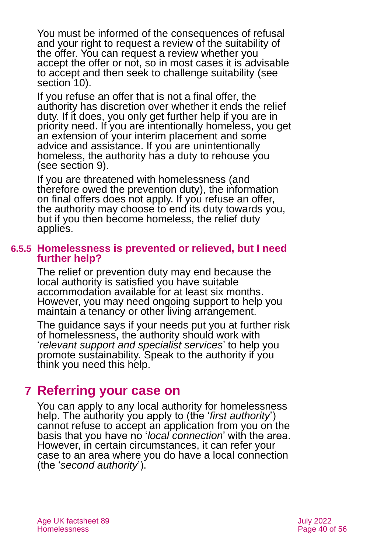You must be informed of the consequences of refusal and your right to request a review of the suitability of the offer. You can request a review whether you accept the offer or not, so in most cases it is advisable to accept and then seek to challenge suitability [\(see](#page-45-0)  [section 10\)](#page-45-0).

If you refuse an offer that is not a final offer, the authority has discretion over whether it ends the relief duty. If it does, you only get further help if you are in priority need. If you are intentionally homeless, you get an extension of your interim placement and some advice and assistance. If you are unintentionally homeless, the authority has a duty to rehouse you (see [section 9](#page-44-0)).

If you are threatened with homelessness (and therefore owed the prevention duty), the information on final offers does not apply. If you refuse an offer, the authority may choose to end its duty towards you, but if you then become homeless, the relief duty applies.

#### **6.5.5 Homelessness is prevented or relieved, but I need further help?**

The relief or prevention duty may end because the local authority is satisfied you have suitable accommodation available for at least six months. However, you may need ongoing support to help you maintain a tenancy or other living arrangement.

The guidance says if your needs put you at further risk of homelessness, the authority should work with '*relevant support and specialist services*' to help you promote sustainability. Speak to the authority if you think you need this help.

## <span id="page-39-0"></span>**7 Referring your case on**

You can apply to any local authority for homelessness help. The authority you apply to (the '*first authority*') cannot refuse to accept an application from you on the basis that you have no '*local connection*' with the area. However, in certain circumstances, it can refer your case to an area where you do have a local connection (the '*second authority*').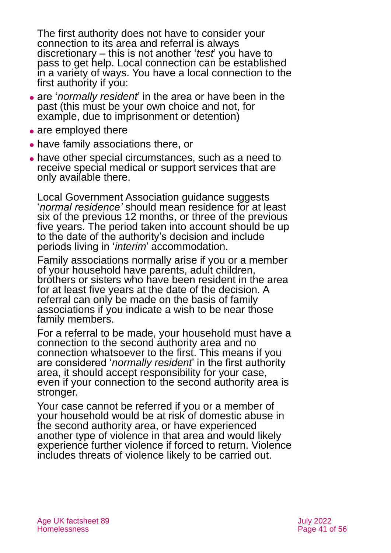The first authority does not have to consider your connection to its area and referral is always discretionary – this is not another '*test*' you have to pass to get help. Local connection can be established in a variety of ways. You have a local connection to the first authority if you:

- ⚫ are '*normally resident*' in the area or have been in the past (this must be your own choice and not, for example, due to imprisonment or detention)
- are employed there
- ⚫ have family associations there, or
- have other special circumstances, such as a need to receive special medical or support services that are only available there.

Local Government Association guidance suggests '*normal residence'* should mean residence for at least six of the previous 12 months, or three of the previous five years. The period taken into account should be up to the date of the authority's decision and include periods living in '*interim*' accommodation.

Family associations normally arise if you or a member of your household have parents, adult children, brothers or sisters who have been resident in the area for at least five years at the date of the decision. A referral can only be made on the basis of family associations if you indicate a wish to be near those family members.

For a referral to be made, your household must have a connection to the second authority area and no connection whatsoever to the first. This means if you are considered '*normally resident*' in the first authority area, it should accept responsibility for your case, even if your connection to the second authority area is stronger.

Your case cannot be referred if you or a member of your household would be at risk of domestic abuse in the second authority area, or have experienced another type of violence in that area and would likely experience further violence if forced to return. Violence includes threats of violence likely to be carried out.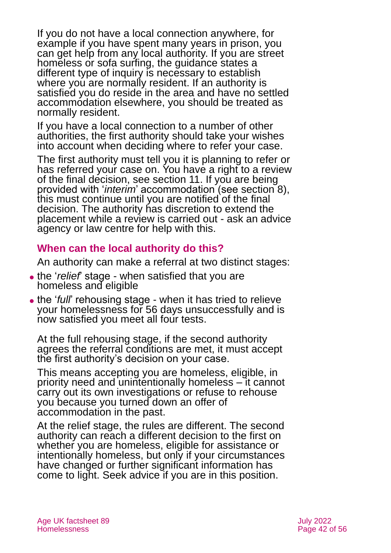If you do not have a local connection anywhere, for example if you have spent many years in prison, you can get help from any local authority. If you are street homeless or sofa surfing, the guidance states a different type of inquiry is necessary to establish where you are normally resident. If an authority is satisfied you do reside in the area and have no settled accommodation elsewhere, you should be treated as normally resident.

If you have a local connection to a number of other authorities, the first authority should take your wishes into account when deciding where to refer your case.

The first authority must tell you it is planning to refer or has referred your case on. You have a right to a review of the final decision, see [section 11](#page-49-0). If you are being provided with '*interim*' accommodation (see [section 8\)](#page-42-0), this must continue until you are notified of the final decision. The authority has discretion to extend the placement while a review is carried out - ask an advice agency or law centre for help with this.

## **When can the local authority do this?**

An authority can make a referral at two distinct stages:

- ⚫ the '*relief*' stage when satisfied that you are homeless and eligible
- ⚫ the '*full*' rehousing stage when it has tried to relieve your homelessness for 56 days unsuccessfully and is now satisfied you meet all four tests.

At the full rehousing stage, if the second authority agrees the referral conditions are met, it must accept the first authority's decision on your case.

This means accepting you are homeless, eligible, in priority need and unintentionally homeless – it cannot carry out its own investigations or refuse to rehouse you because you turned down an offer of accommodation in the past.

At the relief stage, the rules are different. The second authority can reach a different decision to the first on whether you are homeless, eligible for assistance or intentionally homeless, but only if your circumstances have changed or further significant information has come to light. Seek advice if you are in this position.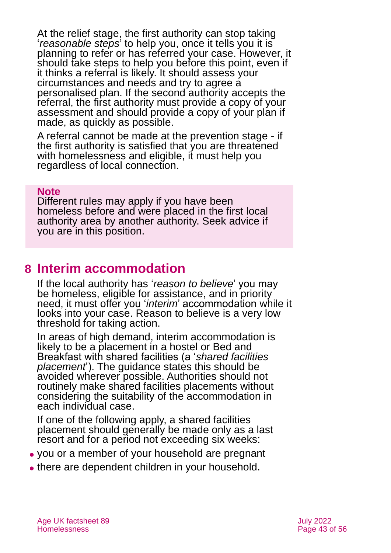At the relief stage, the first authority can stop taking '*reasonable steps*' to help you, once it tells you it is planning to refer or has referred your case. However, it should take steps to help you before this point, even if it thinks a referral is likely. It should assess your circumstances and needs and try to agree a personalised plan. If the second authority accepts the referral, the first authority must provide a copy of your assessment and should provide a copy of your plan if made, as quickly as possible.

A referral cannot be made at the prevention stage - if the first authority is satisfied that you are threatened with homelessness and eligible, it must help you regardless of local connection.

#### **Note**

Different rules may apply if you have been homeless before and were placed in the first local authority area by another authority. Seek advice if you are in this position.

## <span id="page-42-0"></span>**8 Interim accommodation**

If the local authority has '*reason to believe*' you may be homeless, eligible for assistance, and in priority need, it must offer you '*interim*' accommodation while it looks into your case. Reason to believe is a very low threshold for taking action.

In areas of high demand, interim accommodation is likely to be a placement in a hostel or Bed and Breakfast with shared facilities (a '*shared facilities placement*'). The guidance states this should be avoided wherever possible. Authorities should not routinely make shared facilities placements without considering the suitability of the accommodation in each individual case.

If one of the following apply, a shared facilities placement should generally be made only as a last resort and for a period not exceeding six weeks:

- ⚫ you or a member of your household are pregnant
- ⚫ there are dependent children in your household.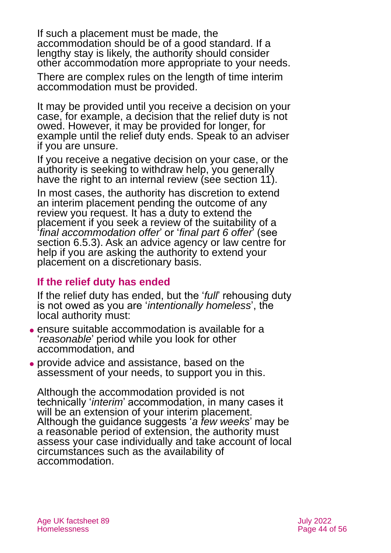If such a placement must be made, the accommodation should be of a good standard. If a lengthy stay is likely, the authority should consider other accommodation more appropriate to your needs.

There are complex rules on the length of time interim accommodation must be provided.

It may be provided until you receive a decision on your case, for example, a decision that the relief duty is not owed. However, it may be provided for longer, for example until the relief duty ends. Speak to an adviser if you are unsure.

If you receive a negative decision on your case, or the authority is seeking to withdraw help, you generally have the right to an internal review (see [section 11](#page-49-0)).

In most cases, the authority has discretion to extend an interim placement pending the outcome of any review you request. It has a duty to extend the placement if you seek a review of the suitability of a '*final accommodation offer*' or '*final part 6 offer*' (see [section 6.5.3\)](#page-38-0). Ask an advice agency or law centre for help if you are asking the authority to extend your placement on a discretionary basis.

## **If the relief duty has ended**

If the relief duty has ended, but the '*full*' rehousing duty is not owed as you are '*intentionally homeless*', the local authority must:

- ⚫ ensure suitable accommodation is available for a '*reasonable*' period while you look for other accommodation, and
- ⚫ provide advice and assistance, based on the assessment of your needs, to support you in this.

Although the accommodation provided is not technically '*interim*' accommodation, in many cases it will be an extension of your interim placement. Although the guidance suggests '*a few weeks*' may be a reasonable period of extension, the authority must assess your case individually and take account of local circumstances such as the availability of accommodation.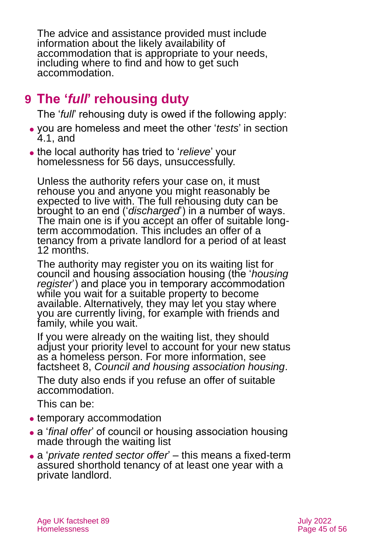The advice and assistance provided must include information about the likely availability of accommodation that is appropriate to your needs, including where to find and how to get such accommodation.

## <span id="page-44-0"></span>**9 The '***full***' rehousing duty**

The '*full*' rehousing duty is owed if the following apply:

- ⚫ you are homeless and meet the other '*tests*' in [section](#page-18-0)  [4.1,](#page-18-0) and
- ⚫ the local authority has tried to '*relieve*' your homelessness for 56 days, unsuccessfully.

Unless the authority refers your case on, it must rehouse you and anyone you might reasonably be expected to live with. The full rehousing duty can be brought to an end ('*discharged*') in a number of ways. The main one is if you accept an offer of suitable longterm accommodation. This includes an offer of a tenancy from a private landlord for a period of at least 12 months.

The authority may register you on its waiting list for council and housing association housing (the '*housing register*') and place you in temporary accommodation while you wait for a suitable property to become available. Alternatively, they may let you stay where you are currently living, for example with friends and family, while you wait.

If you were already on the waiting list, they should adjust your priority level to account for your new status as a homeless person. For more information, see factsheet 8, *Council and [housing association housing](https://www.ageuk.org.uk/globalassets/age-uk/documents/factsheets/fs8_council_and_housing_association_housing_fcs.pdf?dtrk=true)*.

The duty also ends if you refuse an offer of suitable accommodation.

This can be:

- temporary accommodation
- ⚫ a '*final offer*' of council or housing association housing made through the waiting list
- ⚫ a '*private rented sector offer*' this means a fixed-term assured shorthold tenancy of at least one year with a private landlord.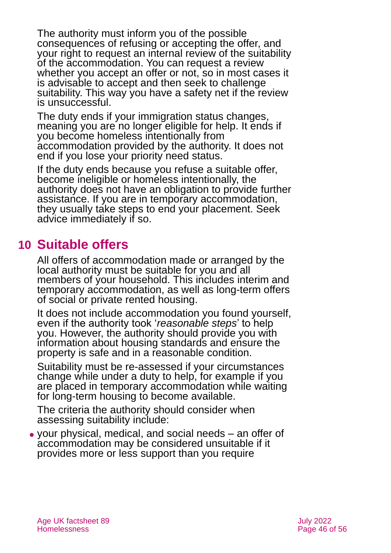The authority must inform you of the possible consequences of refusing or accepting the offer, and your right to request an internal review of the suitability of the accommodation. You can request a review whether you accept an offer or not, so in most cases it is advisable to accept and then seek to challenge suitability. This way you have a safety net if the review is unsuccessful.

The duty ends if your immigration status changes, meaning you are no longer eligible for help. It ends if you become homeless intentionally from accommodation provided by the authority. It does not end if you lose your priority need status.

If the duty ends because you refuse a suitable offer, become ineligible or homeless intentionally, the authority does not have an obligation to provide further assistance. If you are in temporary accommodation, they usually take steps to end your placement. Seek advice immediately if so.

## <span id="page-45-0"></span>**10 Suitable offers**

All offers of accommodation made or arranged by the local authority must be suitable for you and all members of your household. This includes interim and temporary accommodation, as well as long-term offers of social or private rented housing.

It does not include accommodation you found yourself, even if the authority took '*reasonable steps*' to help you. However, the authority should provide you with information about housing standards and ensure the property is safe and in a reasonable condition.

Suitability must be re-assessed if your circumstances change while under a duty to help, for example if you are placed in temporary accommodation while waiting for long-term housing to become available.

The criteria the authority should consider when assessing suitability include:

⚫ your physical, medical, and social needs – an offer of accommodation may be considered unsuitable if it provides more or less support than you require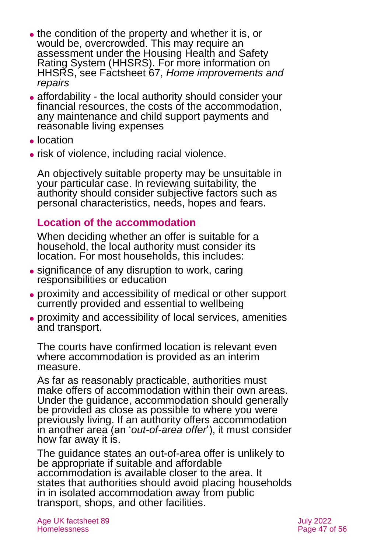- the condition of the property and whether it is, or would be, overcrowded. This may require an assessment under the [Housing Health and Safety](https://www.gov.uk/government/publications/housing-health-and-safety-rating-system-guidance-for-landlords-and-property-related-professionals)  [Rating System](https://www.gov.uk/government/publications/housing-health-and-safety-rating-system-guidance-for-landlords-and-property-related-professionals) (HHSRS). For more information on HHSRS, see Factsheet 67, *[Home improvements and](https://www.ageuk.org.uk/globalassets/age-uk/documents/factsheets/fs67_home_improvements_and_repairs_fcs.pdf?dtrk=true)  [repairs](https://www.ageuk.org.uk/globalassets/age-uk/documents/factsheets/fs67_home_improvements_and_repairs_fcs.pdf?dtrk=true)*
- affordability the local authority should consider your financial resources, the costs of the accommodation, any maintenance and child support payments and reasonable living expenses
- ⚫ location
- ⚫ risk of violence, including racial violence.

An objectively suitable property may be unsuitable in your particular case. In reviewing suitability, the authority should consider subjective factors such as personal characteristics, needs, hopes and fears.

## **Location of the accommodation**

When deciding whether an offer is suitable for a household, the local authority must consider its location. For most households, this includes:

- significance of any disruption to work, caring responsibilities or education
- ⚫ proximity and accessibility of medical or other support currently provided and essential to wellbeing
- ⚫ proximity and accessibility of local services, amenities and transport.

The courts have confirmed location is relevant even where accommodation is provided as an interim measure.

As far as reasonably practicable, authorities must make offers of accommodation within their own areas. Under the guidance, accommodation should generally be provided as close as possible to where you were previously living. If an authority offers accommodation in another area (an '*out-of-area offer*'), it must consider how far away it is.

The guidance states an out-of-area offer is unlikely to be appropriate if suitable and affordable accommodation is available closer to the area. It states that authorities should avoid placing households in in isolated accommodation away from public transport, shops, and other facilities.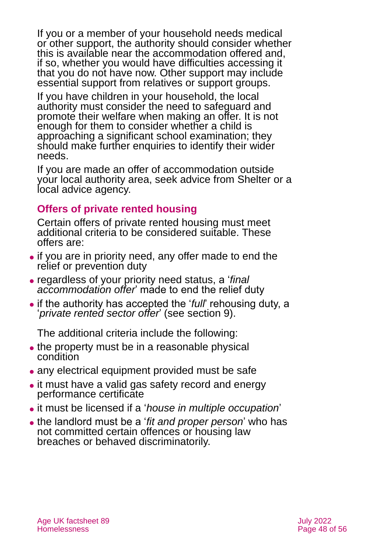If you or a member of your household needs medical or other support, the authority should consider whether this is available near the accommodation offered and, if so, whether you would have difficulties accessing it that you do not have now. Other support may include essential support from relatives or support groups.

If you have children in your household, the local authority must consider the need to safeguard and promote their welfare when making an offer. It is not enough for them to consider whether a child is approaching a significant school examination; they should make further enquiries to identify their wider needs.

If you are made an offer of accommodation outside your local authority area, seek advice from [Shelter](#page-53-0) or a local advice agency.

## **Offers of private rented housing**

Certain offers of private rented housing must meet additional criteria to be considered suitable. These offers are:

- ⚫ if you are in priority need, any offer made to end the relief or prevention duty
- ⚫ regardless of your priority need status, a '*final accommodation offer*' made to end the relief duty
- ⚫ if the authority has accepted the '*full*' rehousing duty, a '*private rented sector offer*' (see [section 9](#page-44-0)).

The additional criteria include the following:

- the property must be in a reasonable physical condition
- any electrical equipment provided must be safe
- it must have a valid gas safety record and energy performance certificate
- ⚫ it must be licensed if a '*house in multiple occupation*'
- ⚫ the landlord must be a '*fit and proper person*' who has not committed certain offences or housing law breaches or behaved discriminatorily.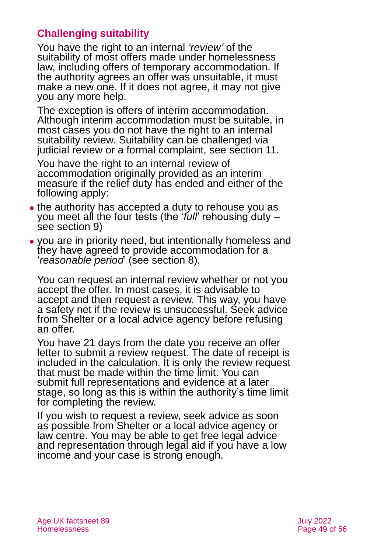## **Challenging suitability**

You have the right to an internal *'review'* of the suitability of most offers made under homelessness law, including offers of temporary accommodation. If the authority agrees an offer was unsuitable, it must make a new one. If it does not agree, it may not give you any more help.

The exception is offers of interim accommodation. Although interim accommodation must be suitable, in most cases you do not have the right to an internal suitability review. Suitability can be challenged via judicial review or a formal complaint, see [section 11.](#page-49-0)

You have the right to an internal review of accommodation originally provided as an interim measure if the relief duty has ended and either of the following apply:

- the authority has accepted a duty to rehouse you as you meet all the four tests (the '*full*' rehousing duty – see [section 9](#page-44-0))
- ⚫ you are in priority need, but intentionally homeless and they have agreed to provide accommodation for a '*reasonable period*' (see [section 8\)](#page-42-0).

You can request an internal review whether or not you accept the offer. In most cases, it is advisable to accept and then request a review. This way, you have a safety net if the review is unsuccessful. Seek advice from [Shelter](#page-53-0) or a local advice agency before refusing an offer.

You have 21 days from the date you receive an offer letter to submit a review request. The date of receipt is included in the calculation. It is only the review request that must be made within the time limit. You can submit full representations and evidence at a later stage, so long as this is within the authority's time limit for completing the review.

If you wish to request a review, seek advice as soon as possible from [Shelter](#page-53-0) or a local advice agency or law centre. You may be able to get free legal advice and representation through legal aid if you have a low income and your case is strong enough.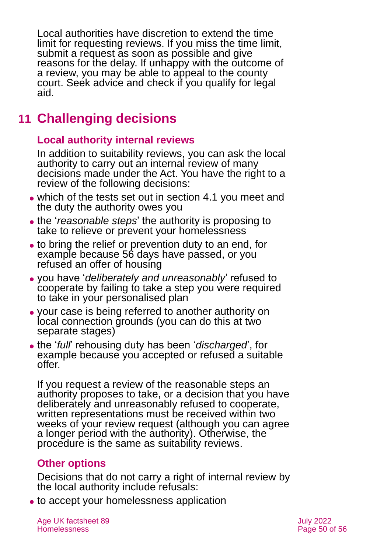Local authorities have discretion to extend the time limit for requesting reviews. If you miss the time limit, submit a request as soon as possible and give reasons for the delay. If unhappy with the outcome of a review, you may be able to appeal to the county court. Seek advice and check if you qualify for legal aid.

## <span id="page-49-0"></span>**11 Challenging decisions**

### **Local authority internal reviews**

In addition to suitability reviews, you can ask the local authority to carry out an internal review of many decisions made under the Act. You have the right to a review of the following decisions:

- which of the tests set out in [section 4.1](#page-18-0) you meet and the duty the authority owes you
- ⚫ the '*reasonable steps*' the authority is proposing to take to relieve or prevent your homelessness
- ⚫ to bring the relief or prevention duty to an end, for example because 56 days have passed, or you refused an offer of housing
- ⚫ you have '*deliberately and unreasonably*' refused to cooperate by failing to take a step you were required to take in your personalised plan
- ⚫ your case is being referred to another authority on local connection grounds (you can do this at two separate stages)
- ⚫ the '*full*' rehousing duty has been '*discharged*', for example because you accepted or refused a suitable offer.

If you request a review of the reasonable steps an authority proposes to take, or a decision that you have deliberately and unreasonably refused to cooperate, written representations must be received within two weeks of your review request (although you can agree a longer period with the authority). Otherwise, the procedure is the same as suitability reviews.

## **Other options**

Decisions that do not carry a right of internal review by the local authority include refusals:

⚫ to accept your homelessness application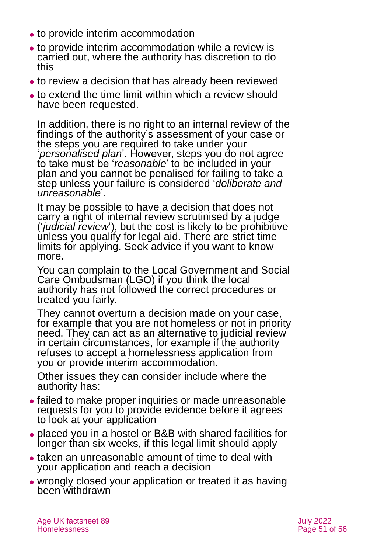- ⚫ to provide interim accommodation
- ⚫ to provide interim accommodation while a review is carried out, where the authority has discretion to do this
- ⚫ to review a decision that has already been reviewed
- ⚫ to extend the time limit within which a review should have been requested.

In addition, there is no right to an internal review of the findings of the authority's assessment of your case or the steps you are required to take under your '*personalised plan*'. However, steps you do not agree to take must be '*reasonable*' to be included in your plan and you cannot be penalised for failing to take a step unless your failure is considered '*deliberate and unreasonable*'.

It may be possible to have a decision that does not carry a right of internal review scrutinised by a judge ('*judicial review*'), but the cost is likely to be prohibitive unless you qualify for legal aid. There are strict time limits for applying. Seek advice if you want to know more.

You can complain to the [Local Government](#page-52-1) and Social [Care Ombudsman](#page-52-1) (LGO) if you think the local authority has not followed the correct procedures or treated you fairly.

They cannot overturn a decision made on your case, for example that you are not homeless or not in priority need. They can act as an alternative to judicial review in certain circumstances, for example if the authority refuses to accept a homelessness application from you or provide interim accommodation.

Other issues they can consider include where the authority has:

- ⚫ failed to make proper inquiries or made unreasonable requests for you to provide evidence before it agrees to look at your application
- ⚫ placed you in a hostel or B&B with shared facilities for longer than six weeks, if this legal limit should apply
- ⚫ taken an unreasonable amount of time to deal with your application and reach a decision
- ⚫ wrongly closed your application or treated it as having been withdrawn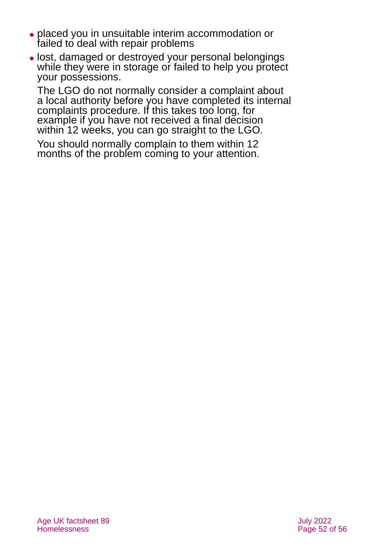- ⚫ placed you in unsuitable interim accommodation or failed to deal with repair problems
- ⚫ lost, damaged or destroyed your personal belongings while they were in storage or failed to help you protect your possessions.

The LGO do not normally consider a complaint about a local authority before you have completed its internal complaints procedure. If this takes too long, for example if you have not received a final decision within 12 weeks, you can go straight to the LGO.

You should normally complain to them within 12 months of the problem coming to your attention.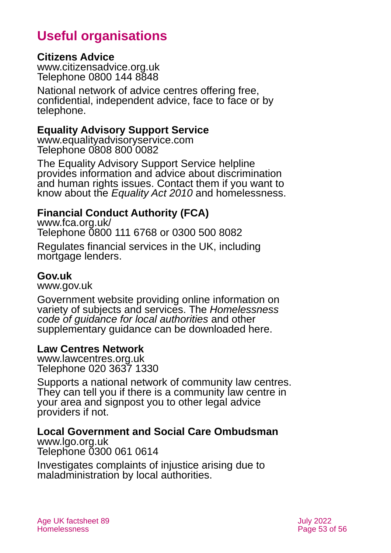## **Useful organisations**

#### <span id="page-52-0"></span>**Citizens Advice**

[www.citizensadvice.org.uk](http://www.citizensadvice.org.uk/) Telephone 0800 144 8848

National network of advice centres offering free, confidential, independent advice, face to face or by telephone.

### **Equality Advisory Support Service**

[www.equalityadvisoryservice.com](http://www.equalityadvisoryservice.com/) Telephone 0808 800 0082

The Equality Advisory Support Service helpline provides information and advice about discrimination and human rights issues. Contact them if you want to know about the *Equality Act 2010* and homelessness.

## **Financial Conduct Authority (FCA)**

[www.fca.org.uk/](http://www.fca.org.uk/) Telephone 0800 111 6768 or 0300 500 8082

Regulates financial services in the UK, including mortgage lenders.

#### **Gov.uk**

[www.gov.uk](http://www.gov.uk/)

Government website providing online information on variety of subjects and services. The *Homelessness code of guidance for local authorities* and other supplementary guidance can be downloaded here.

#### **Law Centres Network**

[www.lawcentres.org.uk](http://www.lawcentres.org.uk/) Telephone 020 3637 1330

Supports a national network of community law centres. They can tell you if there is a community law centre in your area and signpost you to other legal advice providers if not.

#### <span id="page-52-1"></span>**Local Government and Social Care Ombudsman**

[www.lgo.org.uk](http://www.lgo.org.uk/) Telephone 0300 061 0614

Investigates complaints of injustice arising due to maladministration by local authorities.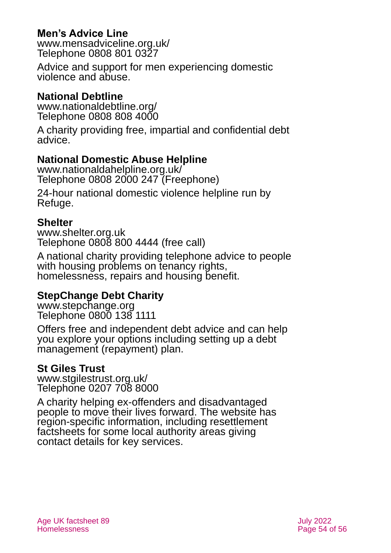## **Men's Advice Line**

[www.mensadviceline.org.uk/](http://www.mensadviceline.org.uk/) Telephone 0808 801 0327

Advice and support for men experiencing domestic violence and abuse.

## **National Debtline**

[www.nationaldebtline.org/](http://www.nationaldebtline.org/) Telephone 0808 808 4000

A charity providing free, impartial and confidential debt advice.

### <span id="page-53-0"></span>**National Domestic Abuse Helpline**

[www.nationaldahelpline.org.uk/](http://www.nationaldahelpline.org.uk/) Telephone 0808 2000 247 (Freephone)

24-hour national domestic violence helpline run by Refuge.

#### **Shelter**

[www.shelter.org.uk](http://www.shelter.org.uk/) Telephone 0808 800 4444 (free call)

A national charity providing telephone advice to people with housing problems on tenancy rights, homelessness, repairs and housing benefit.

### **StepChange Debt Charity**

[www.stepchange.org](http://www.stepchange.org/) Telephone 0800 138 1111

Offers free and independent debt advice and can help you explore your options including setting up a debt management (repayment) plan.

#### <span id="page-53-1"></span>**St Giles Trust**

[www.stgilestrust.org.uk/](http://www.stgilestrust.org.uk/) Telephone 0207 708 8000

A charity helping ex-offenders and disadvantaged people to move their lives forward. The website has region-specific information, including resettlement factsheets for some local authority areas giving contact details for key services.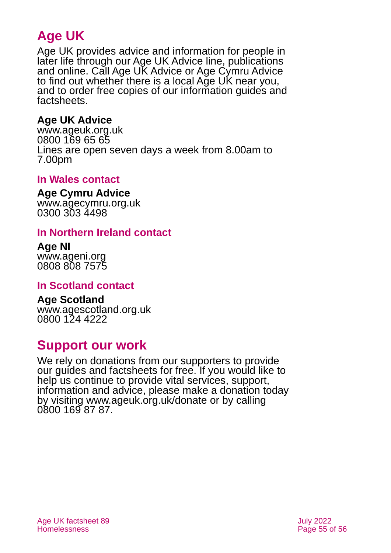## **Age UK**

Age UK provides advice and information for people in later life through our Age UK Advice line, publications and online. Call Age UK Advice or Age Cymru Advice to find out whether there is a local Age UK near you, and to order free copies of our information guides and factsheets.

## <span id="page-54-1"></span>**Age UK Advice**

[www.ageuk.org.uk](http://www.ageuk.org.uk/) 0800 169 65 65 Lines are open seven days a week from 8.00am to 7.00pm

## <span id="page-54-0"></span>**In Wales contact**

#### **Age Cymru Advice**

[www.agecymru.org.uk](http://www.agecymru.org.uk/) 0300 303 4498

#### **In Northern Ireland contact**

**Age NI** [www.ageni.org](http://www.ageni.org/) 0808 808 7575

### **In Scotland contact**

<span id="page-54-2"></span>**Age Scotland** [www.agescotland.org.uk](http://www.agescotland.org.uk/) 0800 124 4222

## **Support our work**

We rely on donations from our supporters to provide our guides and factsheets for free. If you would like to help us continue to provide vital services, support, information and advice, please make a donation today by visiting [www.ageuk.org.uk/donate](http://www.ageuk.org.uk/donate) or by calling 0800 169 87 87.